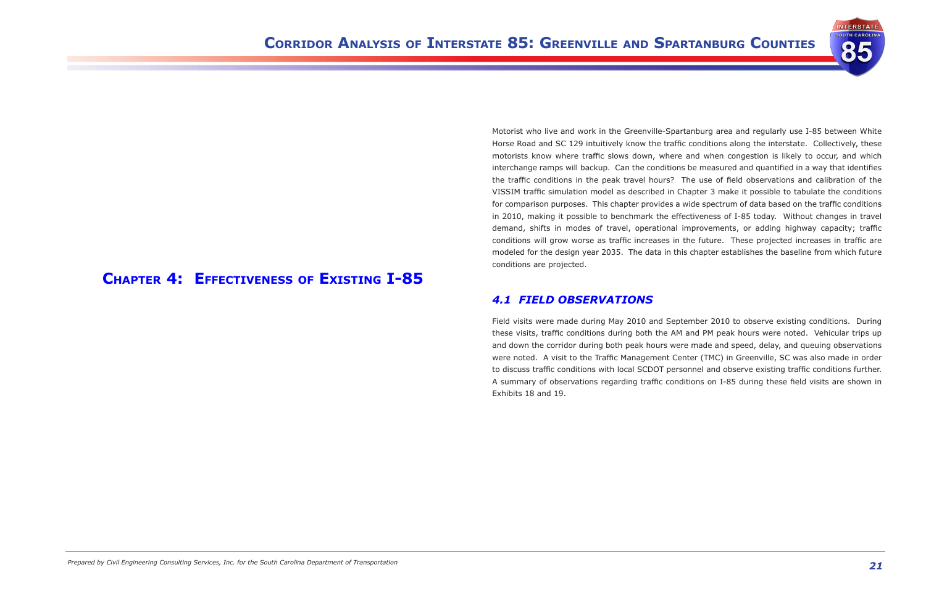

# **Chapter 4: Effectiveness of Existing I-85**

Motorist who live and work in the Greenville-Spartanburg area and regularly use I-85 between White Horse Road and SC 129 intuitively know the traffic conditions along the interstate. Collectively, these motorists know where traffic slows down, where and when congestion is likely to occur, and which interchange ramps will backup. Can the conditions be measured and quantified in a way that identifies the traffic conditions in the peak travel hours? The use of field observations and calibration of the VISSIM traffic simulation model as described in Chapter 3 make it possible to tabulate the conditions for comparison purposes. This chapter provides a wide spectrum of data based on the traffic conditions in 2010, making it possible to benchmark the effectiveness of I-85 today. Without changes in travel demand, shifts in modes of travel, operational improvements, or adding highway capacity; traffic conditions will grow worse as traffic increases in the future. These projected increases in traffic are modeled for the design year 2035. The data in this chapter establishes the baseline from which future conditions are projected.

## *4.1 Field Observations*

Field visits were made during May 2010 and September 2010 to observe existing conditions. During these visits, traffic conditions during both the AM and PM peak hours were noted. Vehicular trips up and down the corridor during both peak hours were made and speed, delay, and queuing observations were noted. A visit to the Traffic Management Center (TMC) in Greenville, SC was also made in order to discuss traffic conditions with local SCDOT personnel and observe existing traffic conditions further. A summary of observations regarding traffic conditions on I-85 during these field visits are shown in Exhibits 18 and 19.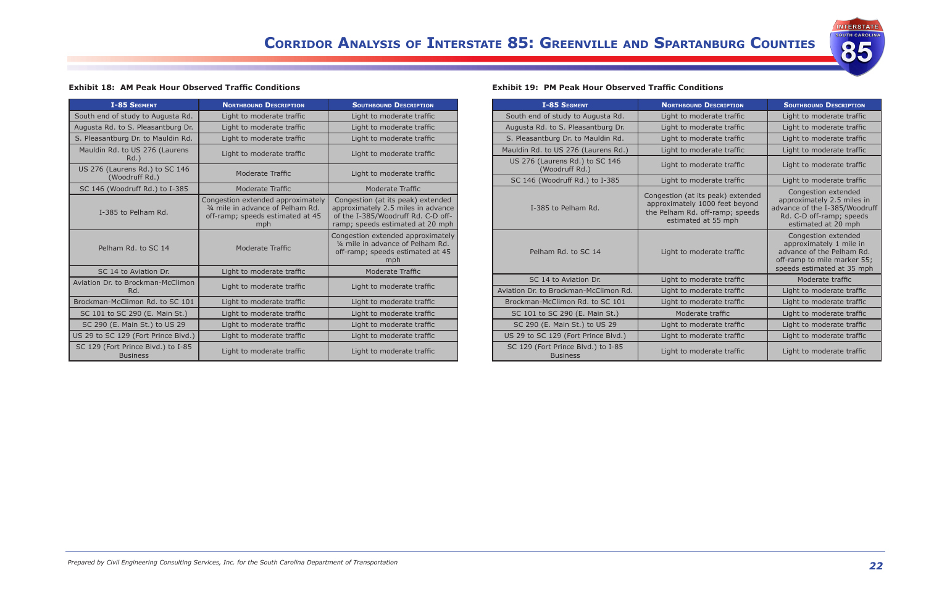

#### **Exhibit 18:  AM Peak Hour Observed Traffic Conditions**

| <b>I-85 SEGMENT</b>                                   | <b>NORTHBOUND DESCRIPTION</b>                                                                                     | <b>SOUTHBOUND DESCRIPTION</b>                                                                                                                     |  |
|-------------------------------------------------------|-------------------------------------------------------------------------------------------------------------------|---------------------------------------------------------------------------------------------------------------------------------------------------|--|
| South end of study to Augusta Rd.                     | Light to moderate traffic                                                                                         | Light to moderate traffic                                                                                                                         |  |
| Augusta Rd. to S. Pleasantburg Dr.                    | Light to moderate traffic                                                                                         | Light to moderate traffic                                                                                                                         |  |
| S. Pleasantburg Dr. to Mauldin Rd.                    | Light to moderate traffic                                                                                         | Light to moderate traffic                                                                                                                         |  |
| Mauldin Rd. to US 276 (Laurens<br>Rd.                 | Light to moderate traffic                                                                                         | Light to moderate traffic                                                                                                                         |  |
| US 276 (Laurens Rd.) to SC 146<br>(Woodruff Rd.)      | Moderate Traffic                                                                                                  | Light to moderate traffic                                                                                                                         |  |
| SC 146 (Woodruff Rd.) to I-385                        | Moderate Traffic                                                                                                  | Moderate Traffic                                                                                                                                  |  |
| I-385 to Pelham Rd.                                   | Congestion extended approximately<br>3/4 mile in advance of Pelham Rd.<br>off-ramp; speeds estimated at 45<br>mph | Congestion (at its peak) extended<br>approximately 2.5 miles in advance<br>of the I-385/Woodruff Rd. C-D off-<br>ramp; speeds estimated at 20 mph |  |
| Pelham Rd. to SC 14                                   | Moderate Traffic                                                                                                  | Congestion extended approximately<br>1/4 mile in advance of Pelham Rd.<br>off-ramp; speeds estimated at 45<br>mph                                 |  |
| SC 14 to Aviation Dr.                                 | Light to moderate traffic                                                                                         | Moderate Traffic                                                                                                                                  |  |
| Aviation Dr. to Brockman-McClimon<br>Rd.              | Light to moderate traffic                                                                                         | Light to moderate traffic                                                                                                                         |  |
| Brockman-McClimon Rd. to SC 101                       | Light to moderate traffic                                                                                         | Light to moderate traffic                                                                                                                         |  |
| SC 101 to SC 290 (E. Main St.)                        | Light to moderate traffic                                                                                         | Light to moderate traffic                                                                                                                         |  |
| SC 290 (E. Main St.) to US 29                         | Light to moderate traffic                                                                                         | Light to moderate traffic                                                                                                                         |  |
| US 29 to SC 129 (Fort Prince Blvd.)                   | Light to moderate traffic                                                                                         | Light to moderate traffic                                                                                                                         |  |
| SC 129 (Fort Prince Blvd.) to I-85<br><b>Business</b> | Light to moderate traffic                                                                                         | Light to moderate traffic                                                                                                                         |  |

#### **Exhibit 19:  PM Peak Hour Observed Traffic Conditions**

| <b>I-85 SEGMENT</b>                                   | <b>NORTHBOUND DESCRIPTION</b>                                                                                                 | <b>SOUTHBOUND DESCRIPTION</b>                                                                                                            |
|-------------------------------------------------------|-------------------------------------------------------------------------------------------------------------------------------|------------------------------------------------------------------------------------------------------------------------------------------|
| South end of study to Augusta Rd.                     | Light to moderate traffic                                                                                                     | Light to moderate traffic                                                                                                                |
| Augusta Rd. to S. Pleasantburg Dr.                    | Light to moderate traffic                                                                                                     | Light to moderate traffic                                                                                                                |
| S. Pleasantburg Dr. to Mauldin Rd.                    | Light to moderate traffic                                                                                                     | Light to moderate traffic                                                                                                                |
| Mauldin Rd. to US 276 (Laurens Rd.)                   | Light to moderate traffic                                                                                                     | Light to moderate traffic                                                                                                                |
| US 276 (Laurens Rd.) to SC 146<br>(Woodruff Rd.)      | Light to moderate traffic                                                                                                     | Light to moderate traffic                                                                                                                |
| SC 146 (Woodruff Rd.) to I-385                        | Light to moderate traffic                                                                                                     | Light to moderate traffic                                                                                                                |
| I-385 to Pelham Rd.                                   | Congestion (at its peak) extended<br>approximately 1000 feet beyond<br>the Pelham Rd. off-ramp; speeds<br>estimated at 55 mph | Congestion extended<br>approximately 2.5 miles in<br>advance of the I-385/Woodruff<br>Rd. C-D off-ramp; speeds<br>estimated at 20 mph    |
| Pelham Rd. to SC 14                                   | Light to moderate traffic                                                                                                     | Congestion extended<br>approximately 1 mile in<br>advance of the Pelham Rd.<br>off-ramp to mile marker 55;<br>speeds estimated at 35 mph |
| SC 14 to Aviation Dr.                                 | Light to moderate traffic                                                                                                     | Moderate traffic                                                                                                                         |
| Aviation Dr. to Brockman-McClimon Rd.                 | Light to moderate traffic                                                                                                     | Light to moderate traffic                                                                                                                |
| Brockman-McClimon Rd, to SC 101                       | Light to moderate traffic                                                                                                     | Light to moderate traffic                                                                                                                |
| SC 101 to SC 290 (E. Main St.)                        | Moderate traffic                                                                                                              | Light to moderate traffic                                                                                                                |
| SC 290 (E. Main St.) to US 29                         | Light to moderate traffic                                                                                                     | Light to moderate traffic                                                                                                                |
| US 29 to SC 129 (Fort Prince Blvd.)                   | Light to moderate traffic                                                                                                     | Light to moderate traffic                                                                                                                |
| SC 129 (Fort Prince Blvd.) to I-85<br><b>Business</b> | Light to moderate traffic                                                                                                     | Light to moderate traffic                                                                                                                |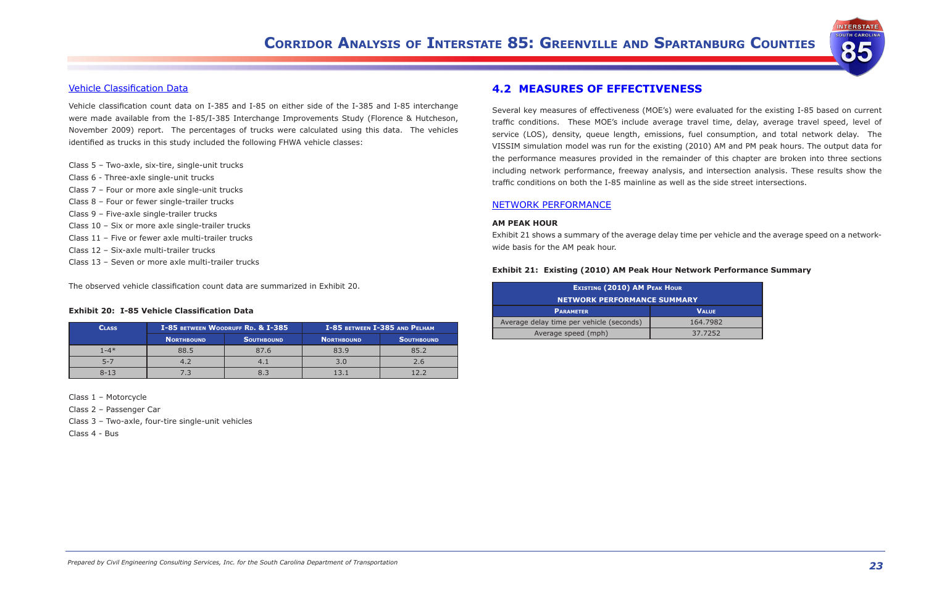

### Vehicle Classification Data

Vehicle classification count data on I-385 and I-85 on either side of the I-385 and I-85 interchange were made available from the I-85/I-385 Interchange Improvements Study (Florence & Hutcheson, November 2009) report. The percentages of trucks were calculated using this data. The vehicles identified as trucks in this study included the following FHWA vehicle classes:

- Class 5 Two-axle, six-tire, single-unit trucks
- Class 6 Three-axle single-unit trucks
- Class 7 Four or more axle single-unit trucks
- Class 8 Four or fewer single-trailer trucks
- Class 9 Five-axle single-trailer trucks
- Class 10 Six or more axle single-trailer trucks
- Class 11 Five or fewer axle multi-trailer trucks
- Class 12 Six-axle multi-trailer trucks
- Class 13 Seven or more axle multi-trailer trucks

The observed vehicle classification count data are summarized in Exhibit 20.

#### **Exhibit 20:  I-85 Vehicle Classification Data**

| <b>CLASS</b> | I-85 BETWEEN WOODRUFF RD. & I-385 |                   |                   | I-85 BETWEEN I-385 AND PELHAM |
|--------------|-----------------------------------|-------------------|-------------------|-------------------------------|
|              | NORTHBOUND                        | <b>SOUTHBOUND</b> | <b>NORTHBOUND</b> | <b>SOUTHBOUND</b>             |
| $1 - 4*$     | 88.5                              | 87.6              | 83.9              | 85.2                          |
|              |                                   |                   | 3.0               |                               |
| $8 - 13$     |                                   |                   |                   |                               |

#### Class 1 – Motorcycle

Class 2 – Passenger Car

Class 3 – Two-axle, four-tire single-unit vehicles

Class 4 - Bus

## **4.2  MEASURES OF EFFECTIVENESS**

Several key measures of effectiveness (MOE's) were evaluated for the existing I-85 based on current traffic conditions. These MOE's include average travel time, delay, average travel speed, level of service (LOS), density, queue length, emissions, fuel consumption, and total network delay. The VISSIM simulation model was run for the existing (2010) AM and PM peak hours. The output data for the performance measures provided in the remainder of this chapter are broken into three sections including network performance, freeway analysis, and intersection analysis. These results show the traffic conditions on both the I-85 mainline as well as the side street intersections.

#### NETWORK PERFORMANCE

#### **AM PEAK HOUR**

Exhibit 21 shows a summary of the average delay time per vehicle and the average speed on a networkwide basis for the AM peak hour.

#### **Exhibit 21:  Existing (2010) AM Peak Hour Network Performance Summary**

| <b>EXISTING (2010) AM PEAK HOUR</b><br><b>NETWORK PERFORMANCE SUMMARY</b> |          |  |  |  |
|---------------------------------------------------------------------------|----------|--|--|--|
| <b>VALUE</b><br><b>PARAMETER</b>                                          |          |  |  |  |
| Average delay time per vehicle (seconds)                                  | 164.7982 |  |  |  |
| Average speed (mph)                                                       | 37.7252  |  |  |  |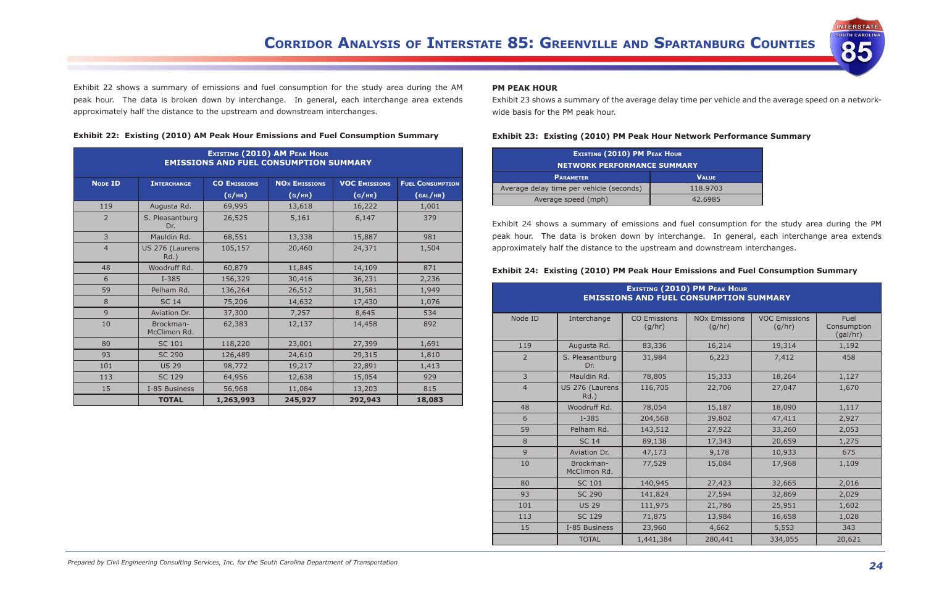

Exhibit 22 shows a summary of emissions and fuel consumption for the study area during the AM peak hour. The data is broken down by interchange. In general, each interchange area extends approximately half the distance to the upstream and downstream interchanges.

|  |  |  | Exhibit 22: Existing (2010) AM Peak Hour Emissions and Fuel Consumption Summary |  |  |
|--|--|--|---------------------------------------------------------------------------------|--|--|
|--|--|--|---------------------------------------------------------------------------------|--|--|

|                | <b>EXISTING (2010) AM PEAK HOUR</b><br><b>EMISSIONS AND FUEL CONSUMPTION SUMMARY</b> |                     |                                 |                      |                         |  |  |  |
|----------------|--------------------------------------------------------------------------------------|---------------------|---------------------------------|----------------------|-------------------------|--|--|--|
| <b>NODE ID</b> | <b>INTERCHANGE</b>                                                                   | <b>CO EMISSIONS</b> | <b>NO<sub>x</sub></b> EMISSIONS | <b>VOC EMISSIONS</b> | <b>FUEL CONSUMPTION</b> |  |  |  |
|                |                                                                                      | (G/HR)              | (G/HR)                          | (G/HR)               | (GAL/HR)                |  |  |  |
| 119            | Augusta Rd.                                                                          | 69,995              | 13,618                          | 16,222               | 1,001                   |  |  |  |
| 2              | S. Pleasantburg<br>Dr.                                                               | 26,525              | 5,161                           | 6,147                | 379                     |  |  |  |
| $\overline{3}$ | Mauldin Rd.                                                                          | 68,551              | 13,338                          | 15,887               | 981                     |  |  |  |
| $\overline{4}$ | US 276 (Laurens<br>Rd.)                                                              | 105,157             | 20,460                          | 24,371               | 1,504                   |  |  |  |
| 48             | Woodruff Rd.                                                                         | 60,879              | 11,845                          | 14,109               | 871                     |  |  |  |
| 6              | $I - 385$                                                                            | 156,329             | 30,416                          | 36,231               | 2,236                   |  |  |  |
| 59             | Pelham Rd.                                                                           | 136,264             | 26,512                          | 31,581               | 1,949                   |  |  |  |
| 8              | <b>SC 14</b>                                                                         | 75,206              | 14,632                          | 17,430               | 1,076                   |  |  |  |
| 9              | Aviation Dr.                                                                         | 37,300              | 7,257                           | 8,645                | 534                     |  |  |  |
| 10             | Brockman-<br>McClimon Rd.                                                            | 62,383              | 12,137                          | 14,458               | 892                     |  |  |  |
| 80             | <b>SC 101</b>                                                                        | 118,220             | 23,001                          | 27,399               | 1,691                   |  |  |  |
| 93             | <b>SC 290</b>                                                                        | 126,489             | 24,610                          | 29,315               | 1,810                   |  |  |  |
| 101            | <b>US 29</b>                                                                         | 98,772              | 19,217                          | 22,891               | 1,413                   |  |  |  |
| 113            | <b>SC 129</b>                                                                        | 64,956              | 12,638                          | 15,054               | 929                     |  |  |  |
| 15             | I-85 Business                                                                        | 56,968              | 11,084                          | 13,203               | 815                     |  |  |  |
|                | <b>TOTAL</b>                                                                         | 1,263,993           | 245,927                         | 292,943              | 18,083                  |  |  |  |

### **PM PEAK HOUR**

Exhibit 23 shows a summary of the average delay time per vehicle and the average speed on a networkwide basis for the PM peak hour.

#### **Exhibit 23:  Existing (2010) PM Peak Hour Network Performance Summary**

| <b>EXISTING (2010) PM PEAK HOUR</b><br><b>NETWORK PERFORMANCE SUMMARY</b> |          |  |  |  |
|---------------------------------------------------------------------------|----------|--|--|--|
| <b>PARAMETER</b><br><b>VALUE</b>                                          |          |  |  |  |
| Average delay time per vehicle (seconds)                                  | 118.9703 |  |  |  |
| Average speed (mph)                                                       | 42.6985  |  |  |  |

Exhibit 24 shows a summary of emissions and fuel consumption for the study area during the PM peak hour. The data is broken down by interchange. In general, each interchange area extends approximately half the distance to the upstream and downstream interchanges.

#### **Exhibit 24:  Existing (2010) PM Peak Hour Emissions and Fuel Consumption Summary**

| <b>EXISTING (2010) PM PEAK HOUR</b><br><b>EMISSIONS AND FUEL CONSUMPTION SUMMARY</b> |                            |                               |                                           |                                 |        |  |  |
|--------------------------------------------------------------------------------------|----------------------------|-------------------------------|-------------------------------------------|---------------------------------|--------|--|--|
| Node ID                                                                              | Interchange                | <b>CO Emissions</b><br>(g/hr) | <b>NO<sub>x</sub></b> Emissions<br>(g/hr) | Fuel<br>Consumption<br>(gal/hr) |        |  |  |
| 119                                                                                  | Augusta Rd.                | 83,336                        | 16,214                                    | 19,314                          | 1,192  |  |  |
| 2                                                                                    | S. Pleasantburg<br>Dr.     | 31,984                        | 6,223                                     | 7,412                           | 458    |  |  |
| 3                                                                                    | Mauldin Rd.                | 78,805                        | 15,333                                    | 18,264                          | 1,127  |  |  |
| $\overline{4}$                                                                       | US 276 (Laurens<br>$Rd.$ ) | 116,705                       | 27,047<br>22,706                          |                                 |        |  |  |
| 48                                                                                   | Woodruff Rd.               | 78,054                        | 15,187                                    | 18,090                          | 1,117  |  |  |
| 6                                                                                    | $I - 385$                  | 204,568                       | 39,802                                    | 47,411                          | 2,927  |  |  |
| 59                                                                                   | Pelham Rd.                 | 143,512                       | 27,922                                    | 33,260                          |        |  |  |
| 8                                                                                    | <b>SC 14</b>               | 89,138                        | 17,343                                    | 20,659                          | 1,275  |  |  |
| 9                                                                                    | Aviation Dr.               | 47,173                        | 9,178                                     | 10,933                          | 675    |  |  |
| 10                                                                                   | Brockman-<br>McClimon Rd.  | 77,529                        | 15,084                                    | 17,968                          | 1,109  |  |  |
| 80                                                                                   | <b>SC 101</b>              | 140,945                       | 27,423                                    | 32,665                          | 2,016  |  |  |
| 93                                                                                   | <b>SC 290</b>              | 141,824                       | 27,594                                    | 32,869                          | 2,029  |  |  |
| 101                                                                                  | <b>US 29</b>               | 111,975                       | 21,786                                    | 25,951                          | 1,602  |  |  |
| 113                                                                                  | <b>SC 129</b>              | 71,875                        | 13,984                                    | 16,658                          | 1,028  |  |  |
| 15                                                                                   | I-85 Business              | 23,960                        | 4,662                                     | 5,553                           | 343    |  |  |
|                                                                                      | <b>TOTAL</b>               | 1,441,384                     | 280,441                                   | 334,055                         | 20,621 |  |  |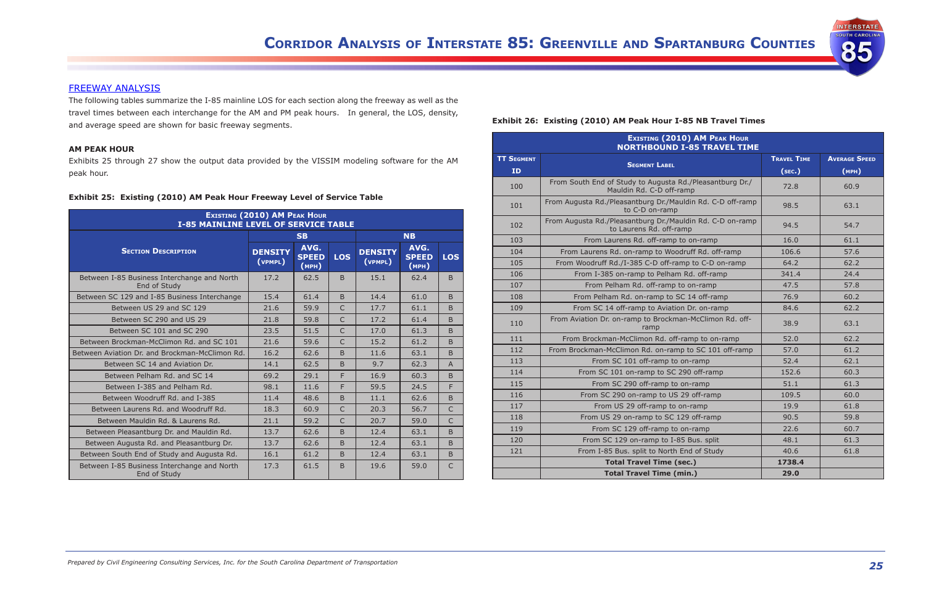**INTERSTATE UTH CAROLIN** 

85

#### FREEWAY ANALYSIS

The following tables summarize the I-85 mainline LOS for each section along the freeway as well as the travel times between each interchange for the AM and PM peak hours. In general, the LOS, density, and average speed are shown for basic freeway segments.

#### **AM PEAK HOUR**

Exhibits 25 through 27 show the output data provided by the VISSIM modeling software for the AM peak hour.

#### **Exhibit 25:  Existing (2010) AM Peak Hour Freeway Level of Service Table**

| <b>EXISTING (2010) AM PEAK HOUR</b><br><b>I-85 MAINLINE LEVEL OF SERVICE TABLE</b> |                           |                               |                |                           |                               |                |  |
|------------------------------------------------------------------------------------|---------------------------|-------------------------------|----------------|---------------------------|-------------------------------|----------------|--|
|                                                                                    |                           | <b>SB</b>                     |                |                           | <b>NB</b>                     |                |  |
| <b>SECTION DESCRIPTION</b>                                                         | <b>DENSITY</b><br>(VPMPL) | AVG.<br><b>SPEED</b><br>(MPH) | <b>LOS</b>     | <b>DENSITY</b><br>(VPMPL) | AVG.<br><b>SPEED</b><br>(MPH) | <b>LOS</b>     |  |
| Between I-85 Business Interchange and North<br>End of Study                        | 17.2                      | 62.5                          | B              | 15.1                      | 62.4                          | <sub>B</sub>   |  |
| Between SC 129 and I-85 Business Interchange                                       | 15.4                      | 61.4                          | <sub>B</sub>   | 14.4                      | 61.0                          | B.             |  |
| Between US 29 and SC 129                                                           | 21.6                      | 59.9                          | $\overline{C}$ | 17.7                      | 61.1                          | <sub>B</sub>   |  |
| Between SC 290 and US 29                                                           | 21.8                      | 59.8                          | $\mathsf{C}$   | 17.2                      | 61.4                          | <sub>B</sub>   |  |
| Between SC 101 and SC 290                                                          | 23.5                      | 51.5                          | $\overline{C}$ | 17.0                      | 61.3                          | <sub>B</sub>   |  |
| Between Brockman-McClimon Rd. and SC 101                                           | 21.6                      | 59.6                          | $\overline{C}$ | 15.2                      | 61.2                          | <sub>B</sub>   |  |
| Between Aviation Dr. and Brockman-McClimon Rd.                                     | 16.2                      | 62.6                          | <sub>B</sub>   | 11.6                      | 63.1                          | $\overline{B}$ |  |
| Between SC 14 and Aviation Dr.                                                     | 14.1                      | 62.5                          | <sub>B</sub>   | 9.7                       | 62.3                          | $\overline{A}$ |  |
| Between Pelham Rd. and SC 14                                                       | 69.2                      | 29.1                          | F              | 16.9                      | 60.3                          | <sub>B</sub>   |  |
| Between I-385 and Pelham Rd.                                                       | 98.1                      | 11.6                          | F              | 59.5                      | 24.5                          | F.             |  |
| Between Woodruff Rd. and I-385                                                     | 11.4                      | 48.6                          | <sub>B</sub>   | 11.1                      | 62.6                          | <sub>B</sub>   |  |
| Between Laurens Rd. and Woodruff Rd.                                               | 18.3                      | 60.9                          | C              | 20.3                      | 56.7                          | C              |  |
| Between Mauldin Rd. & Laurens Rd.                                                  | 21.1                      | 59.2                          | C              | 20.7                      | 59.0                          | $\mathsf{C}$   |  |
| Between Pleasantburg Dr. and Mauldin Rd.                                           | 13.7                      | 62.6                          | <sub>B</sub>   | 12.4                      | 63.1                          | <sub>B</sub>   |  |
| Between Augusta Rd. and Pleasantburg Dr.                                           | 13.7                      | 62.6                          | <sub>B</sub>   | 12.4                      | 63.1                          | <sub>B</sub>   |  |
| Between South End of Study and Augusta Rd.                                         | 16.1                      | 61.2                          | <sub>B</sub>   | 12.4                      | 63.1                          | B.             |  |
| Between I-85 Business Interchange and North<br>End of Study                        | 17.3                      | 61.5                          | <sub>B</sub>   | 19.6                      | 59.0                          | $\mathsf{C}$   |  |

#### **Exhibit 26:  Existing (2010) AM Peak Hour I-85 NB Travel Times**

|                   | <b>EXISTING (2010) AM PEAK HOUR</b><br><b>NORTHBOUND I-85 TRAVEL TIME</b>            |                    |                      |  |  |  |  |
|-------------------|--------------------------------------------------------------------------------------|--------------------|----------------------|--|--|--|--|
| <b>TT SEGMENT</b> |                                                                                      | <b>TRAVEL TIME</b> | <b>AVERAGE SPEED</b> |  |  |  |  |
| ID                | <b>SEGMENT LABEL</b>                                                                 | (sec.)             | (MPH)                |  |  |  |  |
| 100               | From South End of Study to Augusta Rd./Pleasantburg Dr./<br>Mauldin Rd. C-D off-ramp | 72.8               | 60.9                 |  |  |  |  |
| 101               | From Augusta Rd./Pleasantburg Dr./Mauldin Rd. C-D off-ramp<br>to C-D on-ramp         | 98.5               | 63.1                 |  |  |  |  |
| 102               | From Augusta Rd./Pleasantburg Dr./Mauldin Rd. C-D on-ramp<br>to Laurens Rd. off-ramp | 94.5               | 54.7                 |  |  |  |  |
| 103               | From Laurens Rd. off-ramp to on-ramp                                                 | 16.0               | 61.1                 |  |  |  |  |
| 104               | From Laurens Rd. on-ramp to Woodruff Rd. off-ramp                                    | 106.6              | 57.6                 |  |  |  |  |
| 105               | From Woodruff Rd./I-385 C-D off-ramp to C-D on-ramp                                  | 64.2               | 62.2                 |  |  |  |  |
| 106               | From I-385 on-ramp to Pelham Rd. off-ramp                                            | 341.4              | 24.4                 |  |  |  |  |
| 107               | From Pelham Rd. off-ramp to on-ramp                                                  | 47.5               | 57.8                 |  |  |  |  |
| 108               | From Pelham Rd. on-ramp to SC 14 off-ramp                                            | 76.9               | 60.2                 |  |  |  |  |
| 109               | From SC 14 off-ramp to Aviation Dr. on-ramp                                          | 84.6               | 62.2                 |  |  |  |  |
| 110               | From Aviation Dr. on-ramp to Brockman-McClimon Rd. off-<br>ramp                      | 38.9               | 63.1                 |  |  |  |  |
| 111               | From Brockman-McClimon Rd. off-ramp to on-ramp                                       | 52.0               | 62.2                 |  |  |  |  |
| 112               | From Brockman-McClimon Rd. on-ramp to SC 101 off-ramp                                | 57.0               | 61.2                 |  |  |  |  |
| 113               | From SC 101 off-ramp to on-ramp                                                      | 52.4               | 62.1                 |  |  |  |  |
| 114               | From SC 101 on-ramp to SC 290 off-ramp                                               | 152.6              | 60.3                 |  |  |  |  |
| 115               | From SC 290 off-ramp to on-ramp                                                      | 51.1               | 61.3                 |  |  |  |  |
| 116               | From SC 290 on-ramp to US 29 off-ramp                                                | 109.5              | 60.0                 |  |  |  |  |
| 117               | From US 29 off-ramp to on-ramp                                                       | 19.9               | 61.8                 |  |  |  |  |
| 118               | From US 29 on-ramp to SC 129 off-ramp                                                | 90.5               | 59.8                 |  |  |  |  |
| 119               | From SC 129 off-ramp to on-ramp                                                      | 22.6               | 60.7                 |  |  |  |  |
| 120               | From SC 129 on-ramp to I-85 Bus. split                                               | 48.1               | 61.3                 |  |  |  |  |
| 121               | From I-85 Bus. split to North End of Study                                           | 40.6               | 61.8                 |  |  |  |  |
|                   | <b>Total Travel Time (sec.)</b>                                                      | 1738.4             |                      |  |  |  |  |
|                   | <b>Total Travel Time (min.)</b>                                                      | 29.0               |                      |  |  |  |  |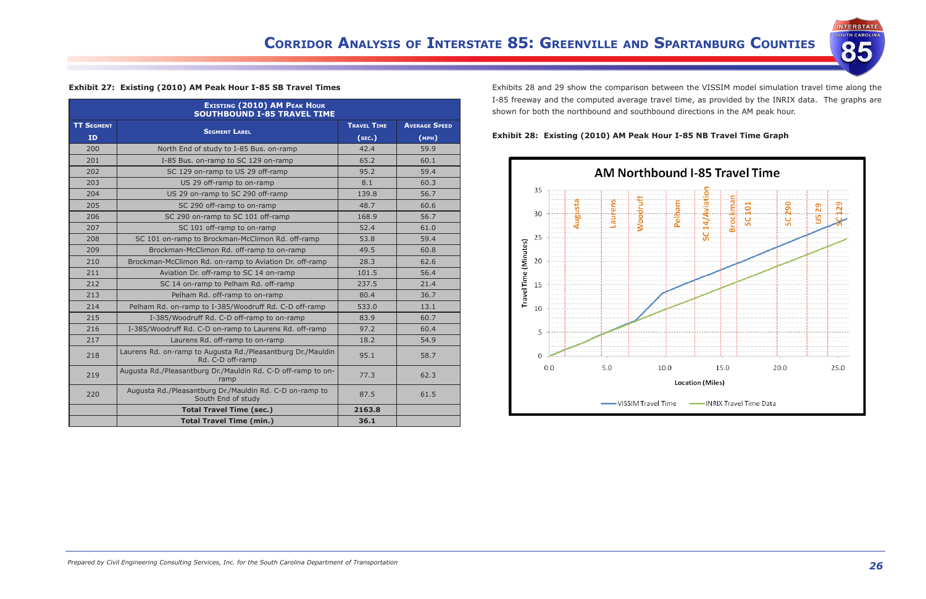

|                   | <b>EXISTING (2010) AM PEAK HOUR</b><br><b>SOUTHBOUND I-85 TRAVEL TIME</b>       |                    |                      |  |
|-------------------|---------------------------------------------------------------------------------|--------------------|----------------------|--|
| <b>TT SEGMENT</b> |                                                                                 | <b>TRAVEL TIME</b> | <b>AVERAGE SPEED</b> |  |
| ID.               | <b>SEGMENT LABEL</b>                                                            | (sec.)             | (MPH)                |  |
| 200               | North End of study to I-85 Bus. on-ramp                                         | 42.4               | 59.9                 |  |
| 201               | I-85 Bus. on-ramp to SC 129 on-ramp                                             | 65.2               | 60.1                 |  |
| 202               | SC 129 on-ramp to US 29 off-ramp                                                | 95.2               | 59.4                 |  |
| 203               | US 29 off-ramp to on-ramp                                                       | 8.1                | 60.3                 |  |
| 204               | US 29 on-ramp to SC 290 off-ramp                                                | 139.8              | 56.7                 |  |
| 205               | SC 290 off-ramp to on-ramp                                                      | 48.7               | 60.6                 |  |
| 206               | SC 290 on-ramp to SC 101 off-ramp                                               | 168.9              | 56.7                 |  |
| 207               | SC 101 off-ramp to on-ramp                                                      | 52.4               | 61.0                 |  |
| 208               | SC 101 on-ramp to Brockman-McClimon Rd. off-ramp                                | 53.8               | 59.4                 |  |
| 209               | Brockman-McClimon Rd. off-ramp to on-ramp                                       | 49.5               | 60.8                 |  |
| 210               | Brockman-McClimon Rd. on-ramp to Aviation Dr. off-ramp                          | 28.3               | 62.6                 |  |
| 211               | Aviation Dr. off-ramp to SC 14 on-ramp                                          | 101.5              | 56.4                 |  |
| 212               | SC 14 on-ramp to Pelham Rd. off-ramp                                            | 237.5              | 21.4                 |  |
| 213               | Pelham Rd. off-ramp to on-ramp                                                  | 80.4               | 36.7                 |  |
| 214               | Pelham Rd. on-ramp to I-385/Woodruff Rd. C-D off-ramp                           | 533.0              | 13.1                 |  |
| 215               | I-385/Woodruff Rd. C-D off-ramp to on-ramp                                      | 83.9               | 60.7                 |  |
| 216               | I-385/Woodruff Rd. C-D on-ramp to Laurens Rd. off-ramp                          | 97.2               | 60.4                 |  |
| 217               | Laurens Rd. off-ramp to on-ramp                                                 | 18.2               | 54.9                 |  |
| 218               | Laurens Rd. on-ramp to Augusta Rd./Pleasantburg Dr./Mauldin<br>Rd. C-D off-ramp | 95.1               | 58.7                 |  |
| 219               | Augusta Rd./Pleasantburg Dr./Mauldin Rd. C-D off-ramp to on-<br>ramp            | 77.3               | 62.3                 |  |
| 220               | Augusta Rd./Pleasantburg Dr./Mauldin Rd. C-D on-ramp to<br>South End of study   | 87.5               | 61.5                 |  |
|                   | <b>Total Travel Time (sec.)</b>                                                 | 2163.8             |                      |  |
|                   | <b>Total Travel Time (min.)</b>                                                 | 36.1               |                      |  |

**Exhibit 27:  Existing (2010) AM Peak Hour I-85 SB Travel Times**

Exhibits 28 and 29 show the comparison between the VISSIM model simulation travel time along the I-85 freeway and the computed average travel time, as provided by the INRIX data. The graphs are shown for both the northbound and southbound directions in the AM peak hour.



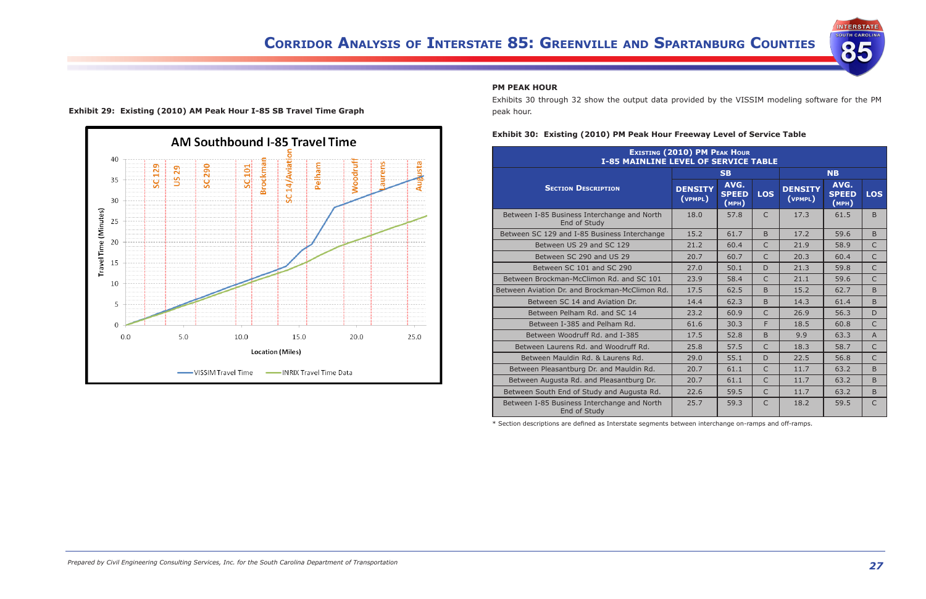





#### **PM PEAK HOUR**

Exhibits 30 through 32 show the output data provided by the VISSIM modeling software for the PM peak hour.

#### **Exhibit 30:  Existing (2010) PM Peak Hour Freeway Level of Service Table**

| <b>EXISTING (2010) PM PEAK HOUR</b><br><b>I-85 MAINLINE LEVEL OF SERVICE TABLE</b> |                           |                               |              |                           |                               |                |
|------------------------------------------------------------------------------------|---------------------------|-------------------------------|--------------|---------------------------|-------------------------------|----------------|
|                                                                                    |                           | <b>SB</b>                     |              |                           | <b>NB</b>                     |                |
| <b>SECTION DESCRIPTION</b>                                                         | <b>DENSITY</b><br>(VPMPL) | AVG.<br><b>SPEED</b><br>(MPH) | <b>LOS</b>   | <b>DENSITY</b><br>(VPMPL) | AVG.<br><b>SPEED</b><br>(MPH) | <b>LOS</b>     |
| Between I-85 Business Interchange and North<br>End of Study                        | 18.0                      | 57.8                          | $\mathsf{C}$ | 17.3                      | 61.5                          | <sub>B</sub>   |
| Between SC 129 and I-85 Business Interchange                                       | 15.2                      | 61.7                          | B            | 17.2                      | 59.6                          | B              |
| Between US 29 and SC 129                                                           | 21.2                      | 60.4                          | $\mathsf{C}$ | 21.9                      | 58.9                          | $\mathsf{C}$   |
| Between SC 290 and US 29                                                           | 20.7                      | 60.7                          | $\mathsf{C}$ | 20.3                      | 60.4                          | $\mathsf{C}$   |
| Between SC 101 and SC 290                                                          | 27.0                      | 50.1                          | D            | 21.3                      | 59.8                          | C              |
| Between Brockman-McClimon Rd. and SC 101                                           | 23.9                      | 58.4                          | C            | 21.1                      | 59.6                          | $\mathsf{C}$   |
| Between Aviation Dr. and Brockman-McClimon Rd.                                     | 17.5                      | 62.5                          | <sub>B</sub> | 15.2                      | 62.7                          | <sub>B</sub>   |
| Between SC 14 and Aviation Dr.                                                     | 14.4                      | 62.3                          | <sub>B</sub> | 14.3                      | 61.4                          | B              |
| Between Pelham Rd. and SC 14                                                       | 23.2                      | 60.9                          | $\mathsf{C}$ | 26.9                      | 56.3                          | $\mathsf{D}$   |
| Between I-385 and Pelham Rd.                                                       | 61.6                      | 30.3                          | F            | 18.5                      | 60.8                          | $\mathsf{C}$   |
| Between Woodruff Rd. and I-385                                                     | 17.5                      | 52.8                          | <sub>B</sub> | 9.9                       | 63.3                          | $\overline{A}$ |
| Between Laurens Rd. and Woodruff Rd.                                               | 25.8                      | 57.5                          | $\mathsf{C}$ | 18.3                      | 58.7                          | $\mathsf{C}$   |
| Between Mauldin Rd. & Laurens Rd.                                                  | 29.0                      | 55.1                          | $\mathsf{D}$ | 22.5                      | 56.8                          | $\mathsf{C}$   |
| Between Pleasantburg Dr. and Mauldin Rd.                                           | 20.7                      | 61.1                          | $\mathsf{C}$ | 11.7                      | 63.2                          | B              |
| Between Augusta Rd. and Pleasantburg Dr.                                           | 20.7                      | 61.1                          | $\mathsf{C}$ | 11.7                      | 63.2                          | B              |
| Between South End of Study and Augusta Rd.                                         | 22.6                      | 59.5                          | $\mathsf{C}$ | 11.7                      | 63.2                          | B              |
| Between I-85 Business Interchange and North<br>End of Study                        | 25.7                      | 59.3                          | $\mathsf{C}$ | 18.2                      | 59.5                          | $\mathsf{C}$   |

\* Section descriptions are defined as Interstate segments between interchange on-ramps and off-ramps.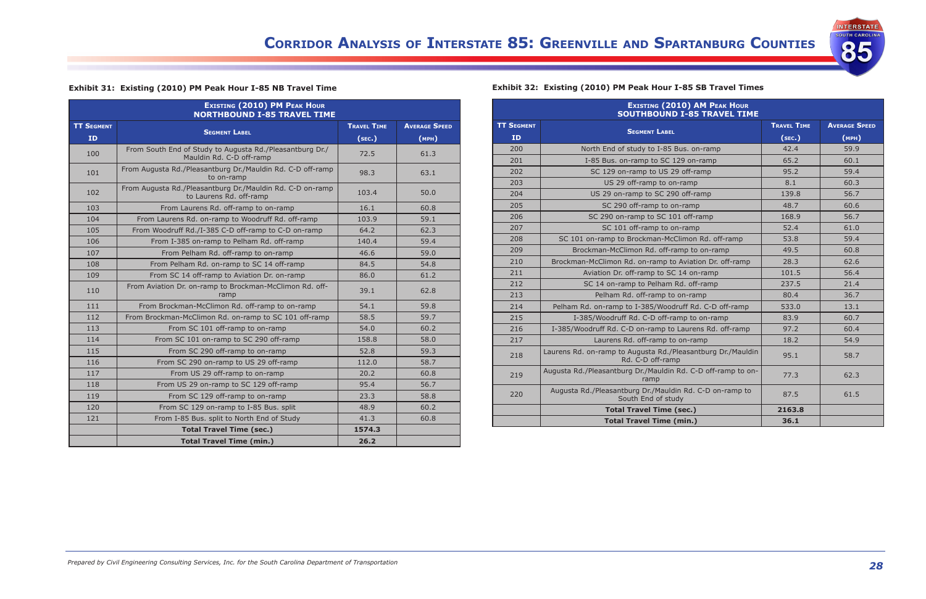

| Exhibit 31: Existing (2010) PM Peak Hour I-85 NB Travel Time |  |  |  |  |
|--------------------------------------------------------------|--|--|--|--|
|                                                              |  |  |  |  |

| <b>EXISTING (2010) PM PEAK HOUR</b><br><b>NORTHBOUND I-85 TRAVEL TIME</b> |                                                                                      |                    |                      |  |  |  |  |
|---------------------------------------------------------------------------|--------------------------------------------------------------------------------------|--------------------|----------------------|--|--|--|--|
| <b>TT SEGMENT</b>                                                         |                                                                                      | <b>TRAVEL TIME</b> | <b>AVERAGE SPEED</b> |  |  |  |  |
| ID.                                                                       | <b>SEGMENT LABEL</b>                                                                 | (SEC.)             | (MPH)                |  |  |  |  |
| 100                                                                       | From South End of Study to Augusta Rd./Pleasantburg Dr./<br>Mauldin Rd. C-D off-ramp | 72.5               | 61.3                 |  |  |  |  |
| 101                                                                       | From Augusta Rd./Pleasantburg Dr./Mauldin Rd. C-D off-ramp<br>to on-ramp             | 98.3               | 63.1                 |  |  |  |  |
| 102                                                                       | From Augusta Rd./Pleasantburg Dr./Mauldin Rd. C-D on-ramp<br>to Laurens Rd. off-ramp | 103.4              | 50.0                 |  |  |  |  |
| 103                                                                       | From Laurens Rd. off-ramp to on-ramp                                                 | 16.1               | 60.8                 |  |  |  |  |
| 104                                                                       | From Laurens Rd. on-ramp to Woodruff Rd. off-ramp                                    | 103.9              | 59.1                 |  |  |  |  |
| 105                                                                       | From Woodruff Rd./I-385 C-D off-ramp to C-D on-ramp                                  | 64.2               | 62.3                 |  |  |  |  |
| 106                                                                       | From I-385 on-ramp to Pelham Rd. off-ramp                                            | 140.4              | 59.4                 |  |  |  |  |
| 107                                                                       | From Pelham Rd. off-ramp to on-ramp                                                  | 46.6               | 59.0                 |  |  |  |  |
| 108                                                                       | From Pelham Rd. on-ramp to SC 14 off-ramp                                            | 84.5               | 54.8                 |  |  |  |  |
| 109                                                                       | From SC 14 off-ramp to Aviation Dr. on-ramp                                          | 86.0               | 61.2                 |  |  |  |  |
| 110                                                                       | From Aviation Dr. on-ramp to Brockman-McClimon Rd. off-<br>ramp                      | 39.1               | 62.8                 |  |  |  |  |
| 111                                                                       | From Brockman-McClimon Rd. off-ramp to on-ramp                                       | 54.1               | 59.8                 |  |  |  |  |
| 112                                                                       | From Brockman-McClimon Rd. on-ramp to SC 101 off-ramp                                | 58.5               | 59.7                 |  |  |  |  |
| 113                                                                       | From SC 101 off-ramp to on-ramp                                                      | 54.0               | 60.2                 |  |  |  |  |
| 114                                                                       | From SC 101 on-ramp to SC 290 off-ramp                                               | 158.8              | 58.0                 |  |  |  |  |
| 115                                                                       | From SC 290 off-ramp to on-ramp                                                      | 52.8               | 59.3                 |  |  |  |  |
| 116                                                                       | From SC 290 on-ramp to US 29 off-ramp                                                | 112.0              | 58.7                 |  |  |  |  |
| 117                                                                       | From US 29 off-ramp to on-ramp                                                       | 20.2               | 60.8                 |  |  |  |  |
| 118                                                                       | From US 29 on-ramp to SC 129 off-ramp                                                | 95.4               | 56.7                 |  |  |  |  |
| 119                                                                       | From SC 129 off-ramp to on-ramp                                                      | 23.3               | 58.8                 |  |  |  |  |
| 120                                                                       | From SC 129 on-ramp to I-85 Bus. split                                               | 48.9               | 60.2                 |  |  |  |  |
| 121                                                                       | From I-85 Bus. split to North End of Study                                           | 41.3               | 60.8                 |  |  |  |  |
|                                                                           | <b>Total Travel Time (sec.)</b>                                                      | 1574.3             |                      |  |  |  |  |
|                                                                           | <b>Total Travel Time (min.)</b>                                                      | 26.2               |                      |  |  |  |  |

### **Exhibit 32:  Existing (2010) PM Peak Hour I-85 SB Travel Times**

| <b>EXISTING (2010) AM PEAK HOUR</b><br><b>SOUTHBOUND I-85 TRAVEL TIME</b> |                                                                                 |                    |                      |  |  |  |  |
|---------------------------------------------------------------------------|---------------------------------------------------------------------------------|--------------------|----------------------|--|--|--|--|
| <b>TT SEGMENT</b>                                                         |                                                                                 | <b>TRAVEL TIME</b> | <b>AVERAGE SPEED</b> |  |  |  |  |
| <b>ID</b>                                                                 | <b>SEGMENT LABEL</b>                                                            | (sec.)             | (MPH)                |  |  |  |  |
| 200                                                                       | North End of study to I-85 Bus. on-ramp                                         | 42.4               | 59.9                 |  |  |  |  |
| 201                                                                       | I-85 Bus. on-ramp to SC 129 on-ramp                                             | 65.2               | 60.1                 |  |  |  |  |
| 202                                                                       | SC 129 on-ramp to US 29 off-ramp                                                | 95.2               | 59.4                 |  |  |  |  |
| 203                                                                       | US 29 off-ramp to on-ramp                                                       | 8.1                | 60.3                 |  |  |  |  |
| 204                                                                       | US 29 on-ramp to SC 290 off-ramp                                                | 139.8              | 56.7                 |  |  |  |  |
| 205                                                                       | SC 290 off-ramp to on-ramp                                                      | 48.7               | 60.6                 |  |  |  |  |
| 206                                                                       | SC 290 on-ramp to SC 101 off-ramp                                               | 168.9              | 56.7                 |  |  |  |  |
| 207                                                                       | SC 101 off-ramp to on-ramp                                                      | 52.4               | 61.0                 |  |  |  |  |
| 208                                                                       | SC 101 on-ramp to Brockman-McClimon Rd. off-ramp                                | 53.8               | 59.4                 |  |  |  |  |
| 209                                                                       | Brockman-McClimon Rd. off-ramp to on-ramp                                       | 49.5               | 60.8                 |  |  |  |  |
| 210                                                                       | Brockman-McClimon Rd. on-ramp to Aviation Dr. off-ramp                          | 28.3               | 62.6                 |  |  |  |  |
| 211                                                                       | Aviation Dr. off-ramp to SC 14 on-ramp                                          | 101.5              | 56.4                 |  |  |  |  |
| 212                                                                       | SC 14 on-ramp to Pelham Rd. off-ramp                                            | 237.5              | 21.4                 |  |  |  |  |
| 213                                                                       | Pelham Rd. off-ramp to on-ramp                                                  | 80.4               | 36.7                 |  |  |  |  |
| 214                                                                       | Pelham Rd. on-ramp to I-385/Woodruff Rd. C-D off-ramp                           | 533.0              | 13.1                 |  |  |  |  |
| 215                                                                       | I-385/Woodruff Rd. C-D off-ramp to on-ramp                                      | 83.9               | 60.7                 |  |  |  |  |
| 216                                                                       | I-385/Woodruff Rd. C-D on-ramp to Laurens Rd. off-ramp                          | 97.2               | 60.4                 |  |  |  |  |
| 217                                                                       | Laurens Rd. off-ramp to on-ramp                                                 | 18.2               | 54.9                 |  |  |  |  |
| 218                                                                       | Laurens Rd. on-ramp to Augusta Rd./Pleasantburg Dr./Mauldin<br>Rd. C-D off-ramp | 95.1               | 58.7                 |  |  |  |  |
| 219                                                                       | Augusta Rd./Pleasantburg Dr./Mauldin Rd. C-D off-ramp to on-<br>ramp            | 77.3               | 62.3                 |  |  |  |  |
| 220                                                                       | Augusta Rd./Pleasantburg Dr./Mauldin Rd. C-D on-ramp to<br>South End of study   | 87.5               | 61.5                 |  |  |  |  |
|                                                                           | <b>Total Travel Time (sec.)</b>                                                 | 2163.8             |                      |  |  |  |  |
|                                                                           | <b>Total Travel Time (min.)</b>                                                 | 36.1               |                      |  |  |  |  |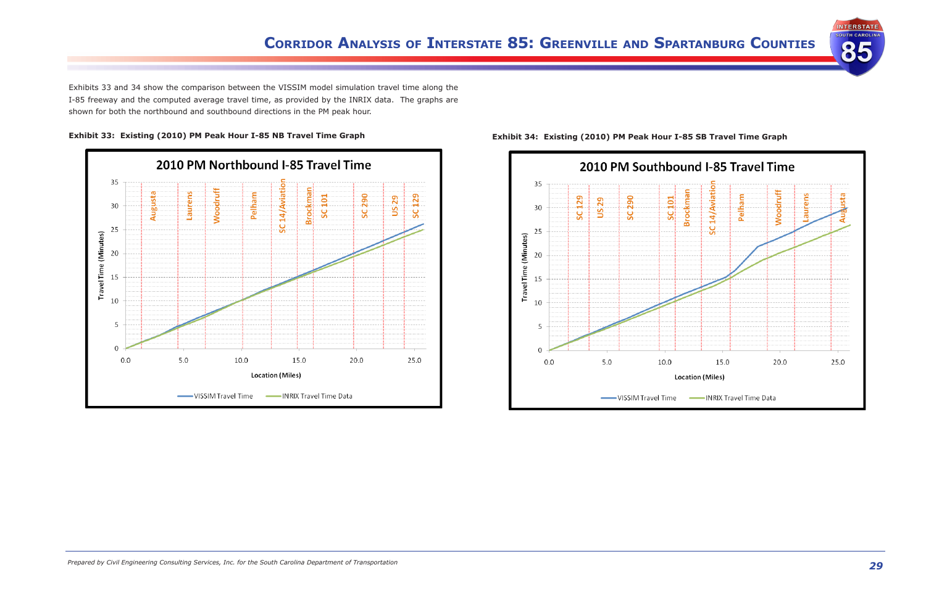

Exhibits 33 and 34 show the comparison between the VISSIM model simulation travel time along the I-85 freeway and the computed average travel time, as provided by the INRIX data. The graphs are shown for both the northbound and southbound directions in the PM peak hour.







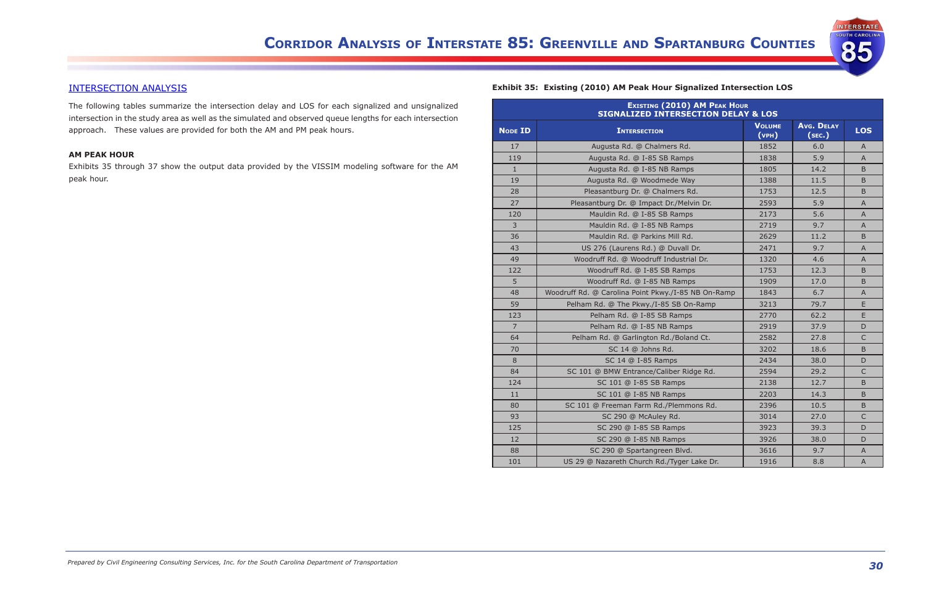

### INTERSECTION ANALYSIS

The following tables summarize the intersection delay and LOS for each signalized and unsignalized intersection in the study area as well as the simulated and observed queue lengths for each intersection approach. These values are provided for both the AM and PM peak hours.

#### **AM PEAK HOUR**

Exhibits 35 through 37 show the output data provided by the VISSIM modeling software for the AM peak hour.

### **Exhibit 35:  Existing (2010) AM Peak Hour Signalized Intersection LOS**

| EXISTING (2010) AM PEAK HOUR<br><b>SIGNALIZED INTERSECTION DELAY &amp; LOS</b> |                                                     |                        |                             |              |  |  |  |
|--------------------------------------------------------------------------------|-----------------------------------------------------|------------------------|-----------------------------|--------------|--|--|--|
| <b>NODE ID</b>                                                                 | <b>INTERSECTION</b>                                 | <b>VOLUME</b><br>(vPH) | <b>Avg. DELAY</b><br>(sec.) | <b>LOS</b>   |  |  |  |
| 17                                                                             | Augusta Rd. @ Chalmers Rd.                          | 1852                   | 6.0                         | A            |  |  |  |
| 119                                                                            | Augusta Rd. @ I-85 SB Ramps                         | 1838                   | 5.9                         | $\mathsf{A}$ |  |  |  |
| $\mathbf{1}$                                                                   | Augusta Rd. @ I-85 NB Ramps                         | 1805                   | 14.2                        | B.           |  |  |  |
| 19                                                                             | Augusta Rd. @ Woodmede Way                          | 1388                   | 11.5                        | B.           |  |  |  |
| 28                                                                             | Pleasantburg Dr. @ Chalmers Rd.                     | 1753                   | 12.5                        | B.           |  |  |  |
| 27                                                                             | Pleasantburg Dr. @ Impact Dr./Melvin Dr.            | 2593                   | 5.9                         | A            |  |  |  |
| 120                                                                            | Mauldin Rd. @ I-85 SB Ramps                         | 2173                   | 5.6                         | $\mathsf{A}$ |  |  |  |
| 3                                                                              | Mauldin Rd. @ I-85 NB Ramps                         | 2719                   | 9.7                         | $\mathsf{A}$ |  |  |  |
| 36                                                                             | Mauldin Rd. @ Parkins Mill Rd.                      | 2629                   | 11.2                        | B            |  |  |  |
| 43                                                                             | US 276 (Laurens Rd.) @ Duvall Dr.                   | 2471                   | 9.7                         | $\mathsf{A}$ |  |  |  |
| 49                                                                             | Woodruff Rd. @ Woodruff Industrial Dr.              | 1320                   | 4.6                         | $\mathsf{A}$ |  |  |  |
| 122                                                                            | Woodruff Rd. @ I-85 SB Ramps                        | 1753                   | 12.3                        | B.           |  |  |  |
| 5                                                                              | Woodruff Rd. @ I-85 NB Ramps                        | 1909                   | 17.0                        | B.           |  |  |  |
| 48                                                                             | Woodruff Rd. @ Carolina Point Pkwy./I-85 NB On-Ramp | 1843                   | 6.7                         | A            |  |  |  |
| 59                                                                             | Pelham Rd. @ The Pkwy./I-85 SB On-Ramp              | 3213                   | 79.7                        | E            |  |  |  |
| 123                                                                            | Pelham Rd. @ I-85 SB Ramps                          | 2770                   | 62.2                        | E.           |  |  |  |
| $\overline{7}$                                                                 | Pelham Rd. @ I-85 NB Ramps                          | 2919                   | 37.9                        | D            |  |  |  |
| 64                                                                             | Pelham Rd. @ Garlington Rd./Boland Ct.              | 2582                   | 27.8                        | $\mathsf{C}$ |  |  |  |
| 70                                                                             | SC 14 @ Johns Rd.                                   | 3202                   | 18.6                        | B.           |  |  |  |
| 8                                                                              | SC 14 @ I-85 Ramps                                  | 2434                   | 38.0                        | D.           |  |  |  |
| 84                                                                             | SC 101 @ BMW Entrance/Caliber Ridge Rd.             | 2594                   | 29.2                        | C            |  |  |  |
| 124                                                                            | SC 101 @ I-85 SB Ramps                              | 2138                   | 12.7                        | B.           |  |  |  |
| 11                                                                             | SC 101 @ I-85 NB Ramps                              | 2203                   | 14.3                        | B.           |  |  |  |
| 80                                                                             | SC 101 @ Freeman Farm Rd./Plemmons Rd.              | 2396                   | 10.5                        | B.           |  |  |  |
| 93                                                                             | SC 290 @ McAuley Rd.                                | 3014                   | 27.0                        | $\mathsf{C}$ |  |  |  |
| 125                                                                            | SC 290 @ I-85 SB Ramps                              | 3923                   | 39.3                        | D.           |  |  |  |
| 12                                                                             | SC 290 @ I-85 NB Ramps                              | 3926                   | 38.0                        | D.           |  |  |  |
| 88                                                                             | SC 290 @ Spartangreen Blvd.                         | 3616                   | 9.7                         | A            |  |  |  |
| 101                                                                            | US 29 @ Nazareth Church Rd./Tyger Lake Dr.          | 1916                   | 8.8                         | $\mathsf{A}$ |  |  |  |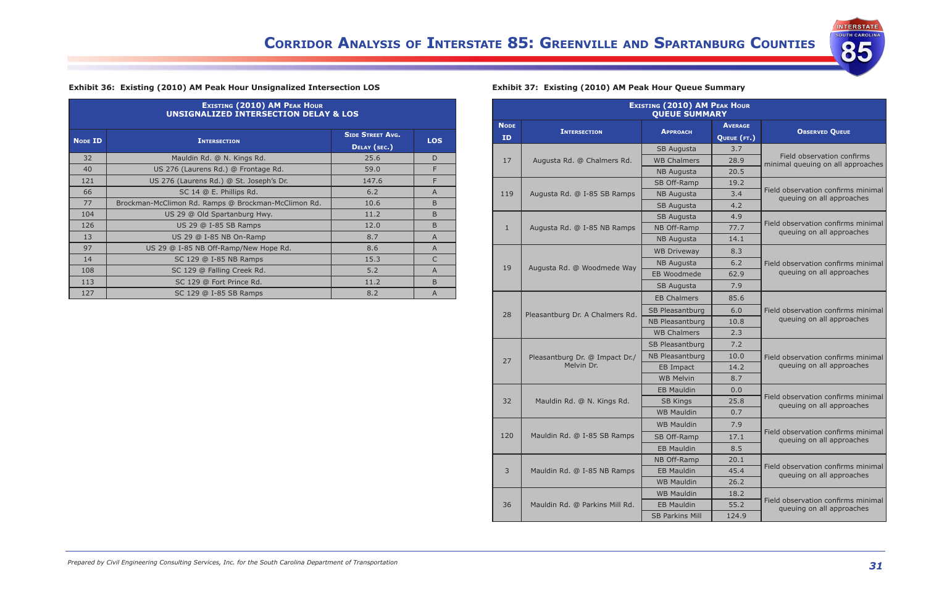

#### **Exhibit 36:  Existing (2010) AM Peak Hour Unsignalized Intersection LOS**

| <b>EXISTING (2010) AM PEAK HOUR</b><br><b>UNSIGNALIZED INTERSECTION DELAY &amp; LOS</b> |                                                     |                                         |                |  |  |  |  |
|-----------------------------------------------------------------------------------------|-----------------------------------------------------|-----------------------------------------|----------------|--|--|--|--|
| <b>NODE ID</b>                                                                          | <b>INTERSECTION</b>                                 | <b>SIDE STREET AVG.</b><br>DELAY (SEC.) | <b>LOS</b>     |  |  |  |  |
| 32                                                                                      | Mauldin Rd. @ N. Kings Rd.                          | 25.6                                    | D              |  |  |  |  |
| 40                                                                                      | US 276 (Laurens Rd.) @ Frontage Rd.                 | 59.0                                    | F              |  |  |  |  |
| 121                                                                                     | US 276 (Laurens Rd.) @ St. Joseph's Dr.             | 147.6                                   | F              |  |  |  |  |
| 66                                                                                      | SC 14 @ E. Phillips Rd.                             | 6.2                                     | $\overline{A}$ |  |  |  |  |
| 77                                                                                      | Brockman-McClimon Rd. Ramps @ Brockman-McClimon Rd. | 10.6                                    | <sub>B</sub>   |  |  |  |  |
| 104                                                                                     | US 29 @ Old Spartanburg Hwy.                        | 11.2                                    | B              |  |  |  |  |
| 126                                                                                     | US 29 @ I-85 SB Ramps                               | 12.0                                    | B              |  |  |  |  |
| 13                                                                                      | US 29 @ I-85 NB On-Ramp                             | 8.7                                     | $\overline{A}$ |  |  |  |  |
| 97                                                                                      | US 29 @ I-85 NB Off-Ramp/New Hope Rd.               | 8.6                                     | $\overline{A}$ |  |  |  |  |
| 14                                                                                      | SC 129 @ I-85 NB Ramps                              | 15.3                                    | $\mathsf{C}$   |  |  |  |  |
| 108                                                                                     | SC 129 @ Falling Creek Rd.                          | 5.2                                     | A              |  |  |  |  |
| 113                                                                                     | SC 129 @ Fort Prince Rd.                            | 11.2                                    | <sub>B</sub>   |  |  |  |  |
| 127                                                                                     | SC 129 @ I-85 SB Ramps                              | 8.2                                     | $\overline{A}$ |  |  |  |  |

### **Exhibit 37:  Existing (2010) AM Peak Hour Queue Summary**

| <b>EXISTING (2010) AM PEAK HOUR</b><br><b>QUEUE SUMMARY</b> |                                 |                        |                               |                                                                 |  |  |
|-------------------------------------------------------------|---------------------------------|------------------------|-------------------------------|-----------------------------------------------------------------|--|--|
| <b>NODE</b><br><b>ID</b>                                    | <b>INTERSECTION</b>             | <b>APPROACH</b>        | <b>AVERAGE</b><br>QUEUE (FT.) | <b>OBSERVED QUEUE</b>                                           |  |  |
|                                                             |                                 | SB Augusta             | 3.7                           |                                                                 |  |  |
| 17                                                          | Augusta Rd. @ Chalmers Rd.      | <b>WB Chalmers</b>     | 28.9                          | Field observation confirms<br>minimal queuing on all approaches |  |  |
|                                                             |                                 | <b>NB Augusta</b>      | 20.5                          |                                                                 |  |  |
|                                                             |                                 | SB Off-Ramp            | 19.2                          |                                                                 |  |  |
| 119                                                         | Augusta Rd. @ I-85 SB Ramps     | <b>NB Augusta</b>      | 3.4                           | Field observation confirms minimal<br>queuing on all approaches |  |  |
|                                                             |                                 | SB Augusta             | 4.2                           |                                                                 |  |  |
|                                                             |                                 | SB Augusta             | 4.9                           |                                                                 |  |  |
| $\mathbf{1}$                                                | Augusta Rd. @ I-85 NB Ramps     | NB Off-Ramp            | 77.7                          | Field observation confirms minimal<br>queuing on all approaches |  |  |
|                                                             |                                 | <b>NB Augusta</b>      | 14.1                          |                                                                 |  |  |
|                                                             |                                 | <b>WB Driveway</b>     | 8.3                           |                                                                 |  |  |
| 19                                                          |                                 | <b>NB Augusta</b>      | 6.2                           | Field observation confirms minimal                              |  |  |
|                                                             | Augusta Rd. @ Woodmede Way      | <b>EB Woodmede</b>     | 62.9                          | queuing on all approaches                                       |  |  |
|                                                             |                                 | SB Augusta             | 7.9                           |                                                                 |  |  |
|                                                             |                                 | <b>EB Chalmers</b>     | 85.6                          |                                                                 |  |  |
| 28                                                          | Pleasantburg Dr. A Chalmers Rd. | SB Pleasantburg        | 6.0                           | Field observation confirms minimal                              |  |  |
|                                                             |                                 | NB Pleasantburg        | 10.8                          | queuing on all approaches                                       |  |  |
|                                                             |                                 | <b>WB Chalmers</b>     | 2.3                           |                                                                 |  |  |
|                                                             |                                 | SB Pleasantburg        | 7.2                           |                                                                 |  |  |
| 27                                                          | Pleasantburg Dr. @ Impact Dr./  | NB Pleasantburg        | 10.0                          | Field observation confirms minimal                              |  |  |
|                                                             | Melvin Dr.                      | EB Impact              | 14.2                          | queuing on all approaches                                       |  |  |
|                                                             |                                 | <b>WB Melvin</b>       | 8.7                           |                                                                 |  |  |
|                                                             |                                 | <b>EB Mauldin</b>      | 0.0                           |                                                                 |  |  |
| 32                                                          | Mauldin Rd. @ N. Kings Rd.      | <b>SB Kings</b>        | 25.8                          | Field observation confirms minimal<br>queuing on all approaches |  |  |
|                                                             |                                 | <b>WB Mauldin</b>      | 0.7                           |                                                                 |  |  |
|                                                             |                                 | <b>WB Mauldin</b>      | 7.9                           | Field observation confirms minimal                              |  |  |
| 120                                                         | Mauldin Rd. @ I-85 SB Ramps     | SB Off-Ramp            | 17.1                          | queuing on all approaches                                       |  |  |
|                                                             |                                 | <b>EB Mauldin</b>      | 8.5                           |                                                                 |  |  |
|                                                             |                                 | NB Off-Ramp            | 20.1                          |                                                                 |  |  |
| 3                                                           | Mauldin Rd. @ I-85 NB Ramps     | <b>EB Mauldin</b>      | 45.4                          | Field observation confirms minimal<br>queuing on all approaches |  |  |
|                                                             |                                 | <b>WB Mauldin</b>      | 26.2                          |                                                                 |  |  |
|                                                             |                                 | <b>WB Mauldin</b>      | 18.2                          |                                                                 |  |  |
| 36                                                          | Mauldin Rd. @ Parkins Mill Rd.  | <b>EB Mauldin</b>      | 55.2                          | Field observation confirms minimal<br>queuing on all approaches |  |  |
|                                                             |                                 | <b>SB Parkins Mill</b> | 124.9                         |                                                                 |  |  |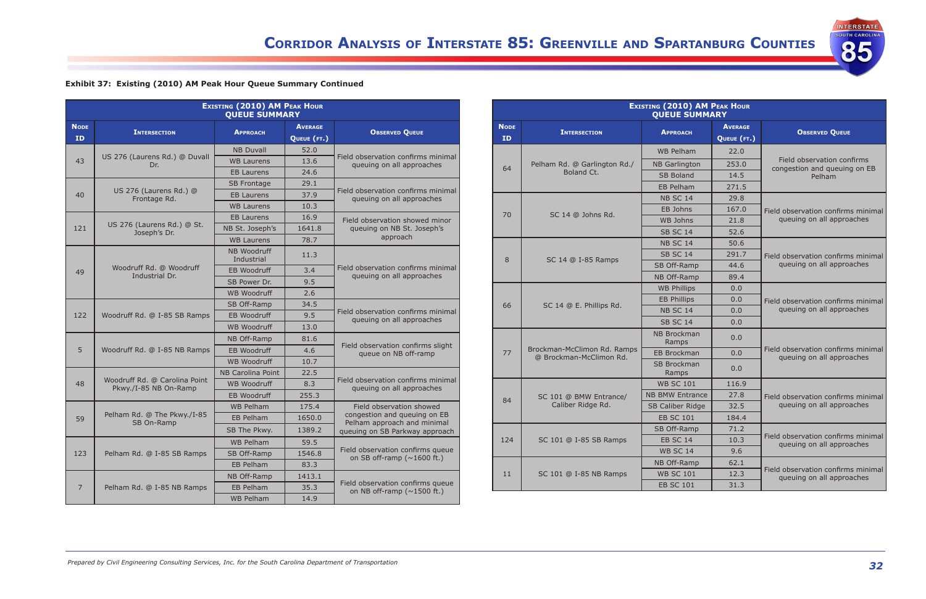**INTERSTATE**<br>SOUTH CAROLINA

85

|  |  | Exhibit 37: Existing (2010) AM Peak Hour Queue Summary Continued |  |
|--|--|------------------------------------------------------------------|--|
|  |  |                                                                  |  |

| <b>EXISTING (2010) AM PEAK HOUR</b><br><b>QUEUE SUMMARY</b> |                                                        |                           |                |                                                                       |  |  |  |
|-------------------------------------------------------------|--------------------------------------------------------|---------------------------|----------------|-----------------------------------------------------------------------|--|--|--|
| <b>NODE</b>                                                 | <b>INTERSECTION</b>                                    | <b>APPROACH</b>           | <b>AVERAGE</b> |                                                                       |  |  |  |
| <b>ID</b>                                                   |                                                        |                           | QUEUE (FT.)    | <b>OBSERVED QUEUE</b>                                                 |  |  |  |
|                                                             |                                                        | <b>NB Duvall</b>          | 52.0           |                                                                       |  |  |  |
| 43                                                          | US 276 (Laurens Rd.) @ Duvall<br>Dr.                   | <b>WB Laurens</b>         | 13.6           | Field observation confirms minimal<br>queuing on all approaches       |  |  |  |
|                                                             |                                                        | <b>EB Laurens</b>         | 24.6           |                                                                       |  |  |  |
|                                                             |                                                        | <b>SB Frontage</b>        | 29.1           |                                                                       |  |  |  |
| 40                                                          | US 276 (Laurens Rd.) @<br>Frontage Rd.                 | <b>FB Laurens</b>         | 37.9           | Field observation confirms minimal<br>queuing on all approaches       |  |  |  |
|                                                             |                                                        | <b>WB Laurens</b>         | 10.3           |                                                                       |  |  |  |
|                                                             |                                                        | <b>EB Laurens</b>         | 16.9           | Field observation showed minor                                        |  |  |  |
| 121                                                         | US 276 (Laurens Rd.) @ St.<br>Joseph's Dr.             | NB St. Joseph's           | 1641.8         | queuing on NB St. Joseph's                                            |  |  |  |
|                                                             |                                                        | <b>WB Laurens</b>         | 78.7           | approach                                                              |  |  |  |
|                                                             |                                                        | NB Woodruff<br>Industrial | 11.3           |                                                                       |  |  |  |
| 49                                                          | Woodruff Rd. @ Woodruff<br>Industrial Dr.              | <b>EB Woodruff</b>        | 3.4            | Field observation confirms minimal<br>queuing on all approaches       |  |  |  |
|                                                             |                                                        | SB Power Dr.              | 9.5            |                                                                       |  |  |  |
|                                                             |                                                        | <b>WB Woodruff</b>        | 2.6            |                                                                       |  |  |  |
|                                                             |                                                        | SB Off-Ramp               | 34.5           |                                                                       |  |  |  |
| 122                                                         | Woodruff Rd. @ I-85 SB Ramps                           | <b>EB Woodruff</b>        | 9.5            | Field observation confirms minimal<br>queuing on all approaches       |  |  |  |
|                                                             |                                                        | <b>WB Woodruff</b>        | 13.0           |                                                                       |  |  |  |
|                                                             |                                                        | NB Off-Ramp               | 81.6           |                                                                       |  |  |  |
| 5                                                           | Woodruff Rd. @ I-85 NB Ramps                           | <b>EB Woodruff</b>        | 4.6            | Field observation confirms slight<br>queue on NB off-ramp             |  |  |  |
|                                                             |                                                        | <b>WB Woodruff</b>        | 10.7           |                                                                       |  |  |  |
|                                                             |                                                        | <b>NB Carolina Point</b>  | 22.5           |                                                                       |  |  |  |
| 48                                                          | Woodruff Rd. @ Carolina Point<br>Pkwy./I-85 NB On-Ramp | <b>WB Woodruff</b>        | 8.3            | Field observation confirms minimal<br>queuing on all approaches       |  |  |  |
|                                                             |                                                        | <b>EB Woodruff</b>        | 255.3          |                                                                       |  |  |  |
|                                                             |                                                        | <b>WB Pelham</b>          | 175.4          | Field observation showed                                              |  |  |  |
| 59                                                          | Pelham Rd. @ The Pkwy./I-85<br>SB On-Ramp              | <b>EB Pelham</b>          | 1650.0         | congestion and queuing on EB<br>Pelham approach and minimal           |  |  |  |
|                                                             |                                                        | SB The Pkwy.              | 1389.2         | queuing on SB Parkway approach                                        |  |  |  |
|                                                             |                                                        | <b>WB Pelham</b>          | 59.5           |                                                                       |  |  |  |
| 123                                                         | Pelham Rd. @ I-85 SB Ramps                             | SB Off-Ramp               | 1546.8         | Field observation confirms queue<br>on SB off-ramp ( $\sim$ 1600 ft.) |  |  |  |
|                                                             |                                                        | EB Pelham                 | 83.3           |                                                                       |  |  |  |
|                                                             |                                                        | NB Off-Ramp               | 1413.1         |                                                                       |  |  |  |
| $\overline{7}$                                              | Pelham Rd. @ I-85 NB Ramps                             | EB Pelham                 | 35.3           | Field observation confirms queue<br>on NB off-ramp ( $\sim$ 1500 ft.) |  |  |  |
|                                                             |                                                        | <b>WB Pelham</b>          | 14.9           |                                                                       |  |  |  |

|                   | <b>EXISTING (2010) AM PEAK HOUR</b><br><b>QUEUE SUMMARY</b> |                             |                               |                                                                 |  |  |  |  |
|-------------------|-------------------------------------------------------------|-----------------------------|-------------------------------|-----------------------------------------------------------------|--|--|--|--|
| <b>NODE</b><br>ID | <b>INTERSECTION</b>                                         | <b>APPROACH</b>             | <b>AVERAGE</b><br>QUEUE (FT.) | <b>OBSERVED QUEUE</b>                                           |  |  |  |  |
|                   |                                                             | <b>WB Pelham</b>            | 22.0                          |                                                                 |  |  |  |  |
| 64                | Pelham Rd. @ Garlington Rd./                                | <b>NB Garlington</b>        | 253.0                         | Field observation confirms<br>congestion and queuing on EB      |  |  |  |  |
|                   | Boland Ct.                                                  | <b>SB Boland</b>            | 14.5                          | Pelham                                                          |  |  |  |  |
|                   |                                                             | FB Pelham                   | 271.5                         |                                                                 |  |  |  |  |
|                   |                                                             | <b>NB SC 14</b>             | 29.8                          |                                                                 |  |  |  |  |
|                   |                                                             | EB Johns                    | 167.0                         | Field observation confirms minimal                              |  |  |  |  |
| 70                | SC 14 @ Johns Rd.                                           | <b>WB Johns</b>             | 21.8                          | queuing on all approaches                                       |  |  |  |  |
|                   |                                                             | <b>SB SC 14</b>             | 52.6                          |                                                                 |  |  |  |  |
|                   |                                                             | <b>NB SC 14</b>             | 50.6                          |                                                                 |  |  |  |  |
|                   |                                                             | <b>SB SC 14</b>             | 291.7                         | Field observation confirms minimal                              |  |  |  |  |
| 8                 | SC 14 @ I-85 Ramps                                          | SB Off-Ramp                 | 44.6                          | queuing on all approaches                                       |  |  |  |  |
|                   |                                                             | NB Off-Ramp                 | 89.4                          |                                                                 |  |  |  |  |
|                   |                                                             | <b>WB Phillips</b>          | 0.0                           |                                                                 |  |  |  |  |
| 66                | SC 14 @ E. Phillips Rd.                                     | <b>EB Phillips</b>          | 0.0                           | Field observation confirms minimal                              |  |  |  |  |
|                   |                                                             | <b>NB SC 14</b>             | 0.0                           | queuing on all approaches                                       |  |  |  |  |
|                   |                                                             | <b>SB SC 14</b>             | 0.0                           |                                                                 |  |  |  |  |
|                   |                                                             | <b>NB Brockman</b><br>Ramps | 0.0                           |                                                                 |  |  |  |  |
| 77                | Brockman-McClimon Rd. Ramps<br>@ Brockman-McClimon Rd.      | <b>EB Brockman</b>          | 0.0                           | Field observation confirms minimal<br>queuing on all approaches |  |  |  |  |
|                   |                                                             | <b>SB Brockman</b><br>Ramps | 0.0                           |                                                                 |  |  |  |  |
|                   |                                                             | <b>WB SC 101</b>            | 116.9                         |                                                                 |  |  |  |  |
| 84                | SC 101 @ BMW Entrance/                                      | <b>NB BMW Entrance</b>      | 27.8                          | Field observation confirms minimal                              |  |  |  |  |
|                   | Caliber Ridge Rd.                                           | SB Caliber Ridge            | 32.5                          | queuing on all approaches                                       |  |  |  |  |
|                   |                                                             | <b>EB SC 101</b>            | 184.4                         |                                                                 |  |  |  |  |
|                   |                                                             | SB Off-Ramp                 | 71.2                          |                                                                 |  |  |  |  |
| 124               | SC 101 @ I-85 SB Ramps                                      | <b>EB SC 14</b>             | 10.3                          | Field observation confirms minimal<br>queuing on all approaches |  |  |  |  |
|                   |                                                             | <b>WB SC 14</b>             | 9.6                           |                                                                 |  |  |  |  |
|                   |                                                             | NB Off-Ramp                 | 62.1                          |                                                                 |  |  |  |  |
| 11                | SC 101 @ I-85 NB Ramps                                      | <b>WB SC 101</b>            | 12.3                          | Field observation confirms minimal<br>queuing on all approaches |  |  |  |  |
|                   |                                                             | <b>EB SC 101</b>            | 31.3                          |                                                                 |  |  |  |  |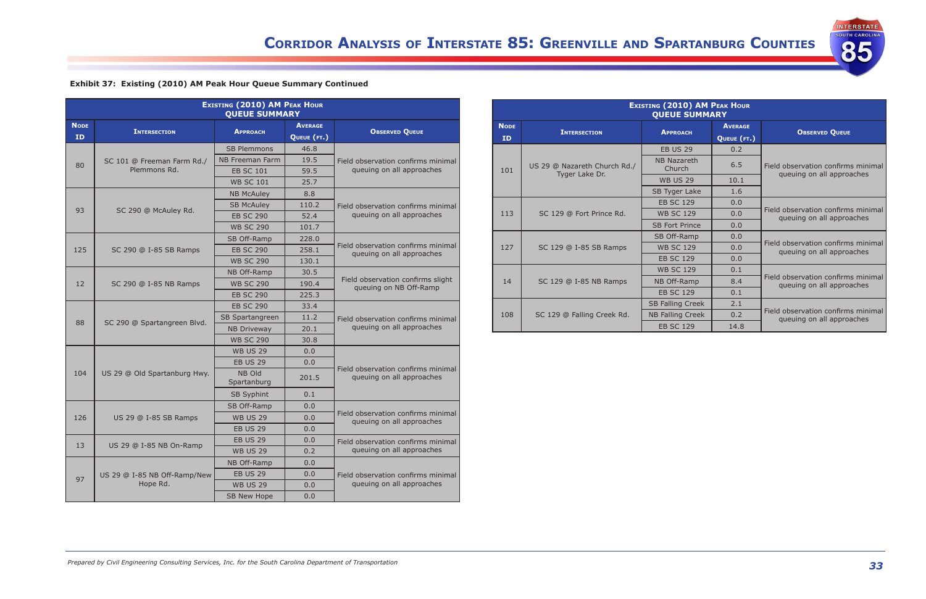INTERSTATE

85

| Exhibit 37: Existing (2010) AM Peak Hour Queue Summary Continued |  |  |  |  |
|------------------------------------------------------------------|--|--|--|--|
|                                                                  |  |  |  |  |

| <b>EXISTING (2010) AM PEAK HOUR</b><br><b>QUEUE SUMMARY</b> |                              |                        |                |                                                                 |  |  |  |
|-------------------------------------------------------------|------------------------------|------------------------|----------------|-----------------------------------------------------------------|--|--|--|
| <b>NODE</b>                                                 |                              |                        | <b>AVERAGE</b> |                                                                 |  |  |  |
| ID                                                          | <b>INTERSECTION</b>          | <b>APPROACH</b>        | QUEUE (FT.)    | <b>OBSERVED QUEUE</b>                                           |  |  |  |
|                                                             |                              | <b>SB Plemmons</b>     | 46.8           |                                                                 |  |  |  |
|                                                             | SC 101 @ Freeman Farm Rd./   | <b>NB Freeman Farm</b> | 19.5           | Field observation confirms minimal                              |  |  |  |
| 80                                                          | Plemmons Rd.                 | <b>EB SC 101</b>       | 59.5           | queuing on all approaches                                       |  |  |  |
|                                                             |                              | <b>WB SC 101</b>       | 25.7           |                                                                 |  |  |  |
|                                                             |                              | <b>NB McAuley</b>      | 8.8            |                                                                 |  |  |  |
| 93                                                          |                              | <b>SB McAuley</b>      | 110.2          | Field observation confirms minimal                              |  |  |  |
|                                                             | SC 290 @ McAuley Rd.         | <b>EB SC 290</b>       | 52.4           | queuing on all approaches                                       |  |  |  |
|                                                             |                              | <b>WB SC 290</b>       | 101.7          |                                                                 |  |  |  |
|                                                             |                              | SB Off-Ramp            | 228.0          |                                                                 |  |  |  |
| 125                                                         | SC 290 @ I-85 SB Ramps       | <b>EB SC 290</b>       | 258.1          | Field observation confirms minimal<br>queuing on all approaches |  |  |  |
|                                                             |                              | <b>WB SC 290</b>       | 130.1          |                                                                 |  |  |  |
|                                                             |                              | NB Off-Ramp            | 30.5           |                                                                 |  |  |  |
| 12                                                          | SC 290 @ I-85 NB Ramps       | <b>WB SC 290</b>       | 190.4          | Field observation confirms slight<br>queuing on NB Off-Ramp     |  |  |  |
|                                                             |                              | <b>EB SC 290</b>       | 225.3          |                                                                 |  |  |  |
|                                                             |                              | <b>EB SC 290</b>       | 33.4           |                                                                 |  |  |  |
| 88                                                          |                              | SB Spartangreen        | 11.2           | Field observation confirms minimal                              |  |  |  |
|                                                             | SC 290 @ Spartangreen Blvd.  | <b>NB Driveway</b>     | 20.1           | queuing on all approaches                                       |  |  |  |
|                                                             |                              | <b>WB SC 290</b>       | 30.8           |                                                                 |  |  |  |
|                                                             |                              | <b>WB US 29</b>        | 0.0            |                                                                 |  |  |  |
|                                                             |                              | <b>EB US 29</b>        | 0.0            |                                                                 |  |  |  |
| 104                                                         | US 29 @ Old Spartanburg Hwy. | NB Old<br>Spartanburg  | 201.5          | Field observation confirms minimal<br>queuing on all approaches |  |  |  |
|                                                             |                              | <b>SB Syphint</b>      | 0.1            |                                                                 |  |  |  |
|                                                             |                              | SB Off-Ramp            | 0.0            |                                                                 |  |  |  |
| 126                                                         | US 29 @ I-85 SB Ramps        | <b>WB US 29</b>        | 0.0            | Field observation confirms minimal<br>queuing on all approaches |  |  |  |
|                                                             |                              | <b>EB US 29</b>        | 0.0            |                                                                 |  |  |  |
|                                                             |                              | <b>EB US 29</b>        | 0.0            | Field observation confirms minimal                              |  |  |  |
| 13                                                          | US 29 @ I-85 NB On-Ramp      | <b>WB US 29</b>        | 0.2            | queuing on all approaches                                       |  |  |  |
|                                                             |                              | NB Off-Ramp            | 0.0            |                                                                 |  |  |  |
|                                                             | US 29 @ I-85 NB Off-Ramp/New | <b>EB US 29</b>        | 0.0            | Field observation confirms minimal                              |  |  |  |
| 97                                                          | Hope Rd.                     | <b>WB US 29</b>        | 0.0            | queuing on all approaches                                       |  |  |  |
|                                                             |                              | SB New Hope            | 0.0            |                                                                 |  |  |  |

|                          | <b>EXISTING (2010) AM PEAK HOUR</b><br><b>QUEUE SUMMARY</b> |                              |                               |                                                                 |  |  |  |  |  |
|--------------------------|-------------------------------------------------------------|------------------------------|-------------------------------|-----------------------------------------------------------------|--|--|--|--|--|
| <b>NODE</b><br><b>ID</b> | <b>INTERSECTION</b>                                         | <b>APPROACH</b>              | <b>AVERAGE</b><br>QUEUE (FT.) | <b>OBSERVED QUEUE</b>                                           |  |  |  |  |  |
|                          |                                                             | <b>EB US 29</b>              | 0.2                           |                                                                 |  |  |  |  |  |
| 101                      | US 29 @ Nazareth Church Rd./<br>Tyger Lake Dr.              | <b>NB Nazareth</b><br>Church | 6.5                           | Field observation confirms minimal<br>queuing on all approaches |  |  |  |  |  |
|                          |                                                             | <b>WB US 29</b>              | 10.1                          |                                                                 |  |  |  |  |  |
|                          |                                                             | SB Tyger Lake                | 1.6                           |                                                                 |  |  |  |  |  |
|                          |                                                             | <b>EB SC 129</b>             | 0.0                           |                                                                 |  |  |  |  |  |
| 113                      | SC 129 @ Fort Prince Rd.                                    | <b>WB SC 129</b>             | 0.0                           | Field observation confirms minimal<br>queuing on all approaches |  |  |  |  |  |
|                          |                                                             | <b>SB Fort Prince</b>        | 0.0                           |                                                                 |  |  |  |  |  |
|                          |                                                             | SB Off-Ramp                  | 0.0                           |                                                                 |  |  |  |  |  |
| 127                      | SC 129 @ I-85 SB Ramps                                      | <b>WB SC 129</b>             | 0.0                           | Field observation confirms minimal<br>queuing on all approaches |  |  |  |  |  |
|                          |                                                             | <b>EB SC 129</b>             | 0.0                           |                                                                 |  |  |  |  |  |
|                          |                                                             | <b>WB SC 129</b>             | 0.1                           |                                                                 |  |  |  |  |  |
| 14                       | SC 129 @ I-85 NB Ramps                                      | NB Off-Ramp                  | 8.4                           | Field observation confirms minimal<br>queuing on all approaches |  |  |  |  |  |
|                          |                                                             | <b>EB SC 129</b>             | 0.1                           |                                                                 |  |  |  |  |  |
|                          |                                                             | <b>SB Falling Creek</b>      | 2.1                           |                                                                 |  |  |  |  |  |
| 108                      | SC 129 @ Falling Creek Rd.                                  | <b>NB Falling Creek</b>      | 0.2                           | Field observation confirms minimal<br>queuing on all approaches |  |  |  |  |  |
|                          |                                                             | <b>EB SC 129</b>             | 14.8                          |                                                                 |  |  |  |  |  |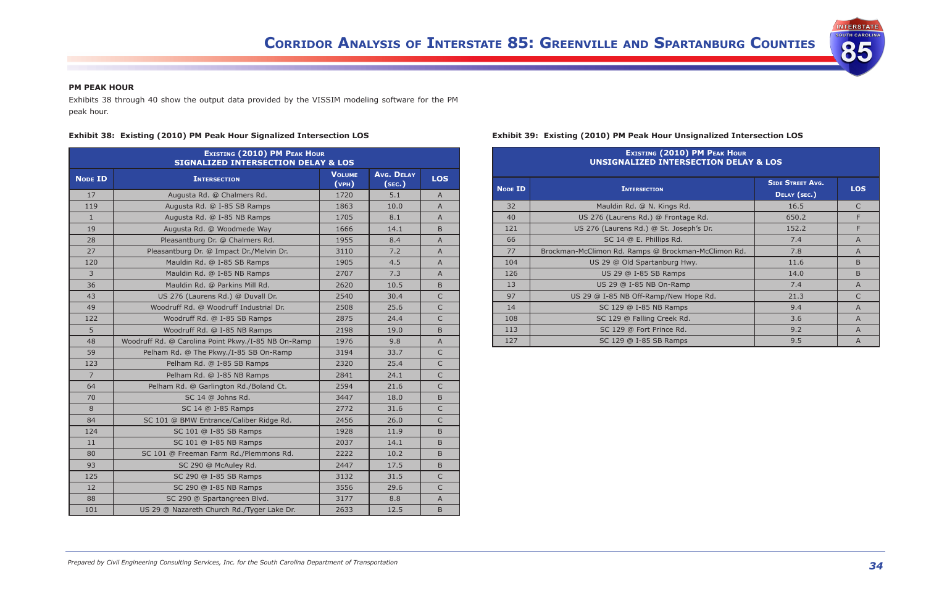**INTERSTATE DUTH CAROLIN** 

85

#### **PM PEAK HOUR**

Exhibits 38 through 40 show the output data provided by the VISSIM modeling software for the PM peak hour.

#### **Exhibit 38:  Existing (2010) PM Peak Hour Signalized Intersection LOS**

| <b>EXISTING (2010) PM PEAK HOUR</b><br><b>SIGNALIZED INTERSECTION DELAY &amp; LOS</b> |                                                     |                        |                             |                           |  |  |  |
|---------------------------------------------------------------------------------------|-----------------------------------------------------|------------------------|-----------------------------|---------------------------|--|--|--|
| <b>NODE ID</b>                                                                        | <b>INTERSECTION</b>                                 | <b>VOLUME</b><br>(vPH) | <b>Avg. DELAY</b><br>(sec.) | <b>LOS</b>                |  |  |  |
| 17                                                                                    | Augusta Rd. @ Chalmers Rd.                          | 1720                   | 5.1                         | A                         |  |  |  |
| 119                                                                                   | Augusta Rd. @ I-85 SB Ramps                         | 1863                   | 10.0                        | A                         |  |  |  |
| $\mathbf{1}$                                                                          | Augusta Rd. @ I-85 NB Ramps                         | 1705                   | 8.1                         | A                         |  |  |  |
| 19                                                                                    | Augusta Rd. @ Woodmede Way                          | 1666                   | 14.1                        | B                         |  |  |  |
| 28                                                                                    | Pleasantburg Dr. @ Chalmers Rd.                     | 1955                   | 8.4                         | $\overline{A}$            |  |  |  |
| 27                                                                                    | Pleasantburg Dr. @ Impact Dr./Melvin Dr.            | 3110                   | 7.2                         | $\mathsf{A}$              |  |  |  |
| 120                                                                                   | Mauldin Rd. @ I-85 SB Ramps                         | 1905                   | 4.5                         | A                         |  |  |  |
| 3 <sup>1</sup>                                                                        | Mauldin Rd. @ I-85 NB Ramps                         | 2707                   | 7.3                         | A                         |  |  |  |
| 36                                                                                    | Mauldin Rd. @ Parkins Mill Rd.                      | 2620                   | 10.5                        | B                         |  |  |  |
| 43                                                                                    | US 276 (Laurens Rd.) @ Duvall Dr.                   | 2540                   | 30.4                        | $\mathsf{C}$              |  |  |  |
| 49                                                                                    | Woodruff Rd. @ Woodruff Industrial Dr.              | 2508                   | 25.6                        | $\mathsf{C}$              |  |  |  |
| 122                                                                                   | Woodruff Rd. @ I-85 SB Ramps                        | 2875                   | 24.4                        | C                         |  |  |  |
| 5                                                                                     | Woodruff Rd. @ I-85 NB Ramps                        | 2198                   | 19.0                        | B                         |  |  |  |
| 48                                                                                    | Woodruff Rd. @ Carolina Point Pkwy./I-85 NB On-Ramp | 1976                   | 9.8                         | $\overline{A}$            |  |  |  |
| 59                                                                                    | Pelham Rd. @ The Pkwy./I-85 SB On-Ramp              | 3194                   | 33.7                        | $\mathsf{C}$              |  |  |  |
| 123                                                                                   | Pelham Rd. @ I-85 SB Ramps                          | 2320                   | 25.4                        | $\mathsf{C}$              |  |  |  |
| $7^{\circ}$                                                                           | Pelham Rd. @ I-85 NB Ramps                          | 2841                   | 24.1                        | $\mathsf{C}$              |  |  |  |
| 64                                                                                    | Pelham Rd. @ Garlington Rd./Boland Ct.              | 2594                   | 21.6                        | $\mathsf{C}$              |  |  |  |
| 70                                                                                    | SC 14 @ Johns Rd.                                   | 3447                   | 18.0                        | B.                        |  |  |  |
| 8                                                                                     | SC 14 @ I-85 Ramps                                  | 2772                   | 31.6                        | $\mathsf{C}$              |  |  |  |
| 84                                                                                    | SC 101 @ BMW Entrance/Caliber Ridge Rd.             | 2456                   | 26.0                        | $\mathsf{C}$              |  |  |  |
| 124                                                                                   | SC 101 @ I-85 SB Ramps                              | 1928                   | 11.9                        | B                         |  |  |  |
| 11                                                                                    | SC 101 @ I-85 NB Ramps                              | 2037                   | 14.1                        | B                         |  |  |  |
| 80                                                                                    | SC 101 @ Freeman Farm Rd./Plemmons Rd.              | 2222                   | 10.2                        | <sub>B</sub>              |  |  |  |
| 93                                                                                    | SC 290 @ McAuley Rd.                                | 2447                   | 17.5                        | B                         |  |  |  |
| 125                                                                                   | SC 290 @ I-85 SB Ramps                              | 3132                   | 31.5                        | C                         |  |  |  |
| 12                                                                                    | SC 290 @ I-85 NB Ramps                              | 3556                   | 29.6                        | $\mathsf{C}$              |  |  |  |
| 88                                                                                    | SC 290 @ Spartangreen Blvd.                         | 3177                   | 8.8                         | $\boldsymbol{\mathsf{A}}$ |  |  |  |
| 101                                                                                   | US 29 @ Nazareth Church Rd./Tyger Lake Dr.          | 2633                   | 12.5                        | B                         |  |  |  |

#### **Exhibit 39:  Existing (2010) PM Peak Hour Unsignalized Intersection LOS**

| <b>EXISTING (2010) PM PEAK HOUR</b><br><b>UNSIGNALIZED INTERSECTION DELAY &amp; LOS</b> |                                                     |                                         |                |  |  |  |
|-----------------------------------------------------------------------------------------|-----------------------------------------------------|-----------------------------------------|----------------|--|--|--|
| <b>NODE ID</b>                                                                          | <b>INTERSECTION</b>                                 | <b>SIDE STREET AVG.</b><br>DELAY (SEC.) | <b>LOS</b>     |  |  |  |
| 32                                                                                      | Mauldin Rd. @ N. Kings Rd.                          | 16.5                                    | $\mathsf{C}$   |  |  |  |
| 40                                                                                      | US 276 (Laurens Rd.) @ Frontage Rd.                 | 650.2                                   | F              |  |  |  |
| 121                                                                                     | US 276 (Laurens Rd.) @ St. Joseph's Dr.             | 152.2                                   | F              |  |  |  |
| 66                                                                                      | SC 14 @ E. Phillips Rd.                             | 7.4                                     | $\overline{A}$ |  |  |  |
| 77                                                                                      | Brockman-McClimon Rd. Ramps @ Brockman-McClimon Rd. | 7.8                                     | $\overline{A}$ |  |  |  |
| 104                                                                                     | US 29 @ Old Spartanburg Hwy.                        | 11.6                                    | <sub>B</sub>   |  |  |  |
| 126                                                                                     | US 29 @ I-85 SB Ramps                               | 14.0                                    | B              |  |  |  |
| 13                                                                                      | US 29 @ I-85 NB On-Ramp                             | 7.4                                     | $\mathsf{A}$   |  |  |  |
| 97                                                                                      | US 29 @ I-85 NB Off-Ramp/New Hope Rd.               | 21.3                                    | $\mathsf{C}$   |  |  |  |
| 14                                                                                      | SC 129 @ I-85 NB Ramps                              | 9.4                                     | A              |  |  |  |
| 108                                                                                     | 3.6<br>SC 129 @ Falling Creek Rd.                   |                                         |                |  |  |  |
| 113                                                                                     | 9.2<br>SC 129 @ Fort Prince Rd.<br>$\overline{A}$   |                                         |                |  |  |  |
| 127                                                                                     | SC 129 @ I-85 SB Ramps                              | 9.5                                     | $\overline{A}$ |  |  |  |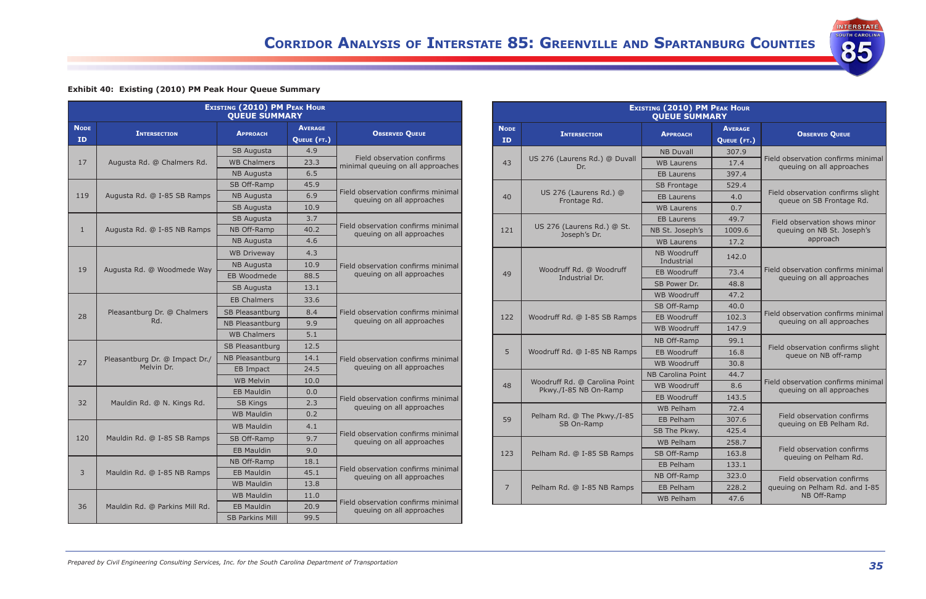**INTERSTATE** OUTH CAROLIN

85

### **Exhibit 40:  Existing (2010) PM Peak Hour Queue Summary**

| <b>EXISTING (2010) PM PEAK HOUR</b><br><b>QUEUE SUMMARY</b> |                                              |                        |                |                                                                 |  |  |
|-------------------------------------------------------------|----------------------------------------------|------------------------|----------------|-----------------------------------------------------------------|--|--|
| <b>NODE</b>                                                 | <b>INTERSECTION</b>                          | <b>APPROACH</b>        | <b>AVERAGE</b> | <b>OBSERVED QUEUE</b>                                           |  |  |
| <b>ID</b>                                                   |                                              |                        | QUEUE (FT.)    |                                                                 |  |  |
|                                                             |                                              | SB Augusta             | 4.9            |                                                                 |  |  |
| 17                                                          | Augusta Rd. @ Chalmers Rd.                   | <b>WB Chalmers</b>     | 23.3           | Field observation confirms<br>minimal queuing on all approaches |  |  |
|                                                             |                                              | <b>NB Augusta</b>      | 6.5            |                                                                 |  |  |
|                                                             |                                              | SB Off-Ramp            | 45.9           |                                                                 |  |  |
| 119                                                         | Augusta Rd. @ I-85 SB Ramps                  | <b>NB Augusta</b>      | 6.9            | Field observation confirms minimal<br>queuing on all approaches |  |  |
|                                                             |                                              | SB Augusta             | 10.9           |                                                                 |  |  |
|                                                             |                                              | SB Augusta             | 3.7            |                                                                 |  |  |
| $\mathbf{1}$                                                | Augusta Rd. @ I-85 NB Ramps                  | NB Off-Ramp            | 40.2           | Field observation confirms minimal<br>queuing on all approaches |  |  |
|                                                             |                                              | <b>NB Augusta</b>      | 4.6            |                                                                 |  |  |
|                                                             |                                              | <b>WB Driveway</b>     | 4.3            |                                                                 |  |  |
| 19                                                          |                                              | <b>NB Augusta</b>      | 10.9           | Field observation confirms minimal                              |  |  |
|                                                             | Augusta Rd. @ Woodmede Way                   | EB Woodmede            | 88.5           | queuing on all approaches                                       |  |  |
|                                                             |                                              | SB Augusta             | 13.1           |                                                                 |  |  |
|                                                             |                                              | <b>EB Chalmers</b>     | 33.6           |                                                                 |  |  |
| 28                                                          | Pleasantburg Dr. @ Chalmers<br>Rd.           | <b>SB Pleasantburg</b> | 8.4            | Field observation confirms minimal                              |  |  |
|                                                             |                                              | <b>NB Pleasantburg</b> | 9.9            | queuing on all approaches                                       |  |  |
|                                                             |                                              | <b>WB Chalmers</b>     | 5.1            |                                                                 |  |  |
|                                                             |                                              | SB Pleasantburg        | 12.5           |                                                                 |  |  |
| 27                                                          | Pleasantburg Dr. @ Impact Dr./<br>Melvin Dr. | <b>NB Pleasantburg</b> | 14.1           | Field observation confirms minimal                              |  |  |
|                                                             |                                              | EB Impact              | 24.5           | queuing on all approaches                                       |  |  |
|                                                             |                                              | <b>WB Melvin</b>       | 10.0           |                                                                 |  |  |
|                                                             |                                              | <b>EB Mauldin</b>      | 0.0            |                                                                 |  |  |
| 32                                                          | Mauldin Rd. @ N. Kings Rd.                   | <b>SB Kings</b>        | 2.3            | Field observation confirms minimal<br>queuing on all approaches |  |  |
|                                                             |                                              | <b>WB Mauldin</b>      | 0.2            |                                                                 |  |  |
|                                                             |                                              | <b>WB Mauldin</b>      | 4.1            | Field observation confirms minimal                              |  |  |
| 120                                                         | Mauldin Rd. @ I-85 SB Ramps                  | SB Off-Ramp            | 9.7            | queuing on all approaches                                       |  |  |
|                                                             |                                              | <b>EB Mauldin</b>      | 9.0            |                                                                 |  |  |
|                                                             |                                              | NB Off-Ramp            | 18.1           |                                                                 |  |  |
| 3                                                           | Mauldin Rd. @ I-85 NB Ramps                  | <b>EB Mauldin</b>      | 45.1           | Field observation confirms minimal<br>queuing on all approaches |  |  |
|                                                             |                                              | <b>WB Mauldin</b>      | 13.8           |                                                                 |  |  |
|                                                             |                                              | <b>WB Mauldin</b>      | 11.0           |                                                                 |  |  |
| 36                                                          | Mauldin Rd. @ Parkins Mill Rd.               | <b>EB Mauldin</b>      | 20.9           | Field observation confirms minimal<br>queuing on all approaches |  |  |
|                                                             |                                              | <b>SB Parkins Mill</b> | 99.5           |                                                                 |  |  |

| <b>EXISTING (2010) PM PEAK HOUR</b><br><b>QUEUE SUMMARY</b> |                                                        |                           |                               |                                                                 |  |  |
|-------------------------------------------------------------|--------------------------------------------------------|---------------------------|-------------------------------|-----------------------------------------------------------------|--|--|
| <b>NODE</b><br><b>ID</b>                                    | <b>INTERSECTION</b>                                    | <b>APPROACH</b>           | <b>AVERAGE</b><br>QUEUE (FT.) | <b>OBSERVED QUEUE</b>                                           |  |  |
|                                                             |                                                        | <b>NB Duvall</b>          | 307.9                         |                                                                 |  |  |
| 43                                                          | US 276 (Laurens Rd.) @ Duvall<br>Dr.                   | <b>WB Laurens</b>         | 17.4                          | Field observation confirms minimal<br>queuing on all approaches |  |  |
|                                                             |                                                        | <b>EB Laurens</b>         | 397.4                         |                                                                 |  |  |
|                                                             |                                                        | <b>SB Frontage</b>        | 529.4                         |                                                                 |  |  |
| 40                                                          | US 276 (Laurens Rd.) @<br>Frontage Rd.                 | FB Laurens                | 4.0                           | Field observation confirms slight<br>queue on SB Frontage Rd.   |  |  |
|                                                             |                                                        | <b>WB Laurens</b>         | 0.7                           |                                                                 |  |  |
|                                                             |                                                        | <b>EB Laurens</b>         | 49.7                          | Field observation shows minor                                   |  |  |
| 121                                                         | US 276 (Laurens Rd.) @ St.<br>Joseph's Dr.             | NB St. Joseph's           | 1009.6                        | queuing on NB St. Joseph's                                      |  |  |
|                                                             |                                                        | <b>WB Laurens</b>         | 17.2                          | approach                                                        |  |  |
|                                                             |                                                        | NB Woodruff<br>Industrial | 142.0                         |                                                                 |  |  |
| 49                                                          | Woodruff Rd. @ Woodruff                                | <b>EB Woodruff</b>        | 73.4                          | Field observation confirms minimal                              |  |  |
|                                                             | Industrial Dr.                                         | SB Power Dr.              | 48.8                          | queuing on all approaches                                       |  |  |
|                                                             |                                                        | <b>WB Woodruff</b>        | 47.2                          |                                                                 |  |  |
|                                                             | Woodruff Rd. @ I-85 SB Ramps                           | SB Off-Ramp               | 40.0                          | Field observation confirms minimal<br>queuing on all approaches |  |  |
| 122                                                         |                                                        | <b>EB Woodruff</b>        | 102.3                         |                                                                 |  |  |
|                                                             |                                                        | <b>WB Woodruff</b>        | 147.9                         |                                                                 |  |  |
|                                                             |                                                        | NB Off-Ramp               | 99.1                          |                                                                 |  |  |
| 5                                                           | Woodruff Rd. @ I-85 NB Ramps                           | <b>EB Woodruff</b>        | 16.8                          | Field observation confirms slight<br>queue on NB off-ramp       |  |  |
|                                                             |                                                        | WB Woodruff               | 30.8                          |                                                                 |  |  |
|                                                             |                                                        | NB Carolina Point         | 44.7                          |                                                                 |  |  |
| 48                                                          | Woodruff Rd. @ Carolina Point<br>Pkwy./I-85 NB On-Ramp | <b>WB Woodruff</b>        | 8.6                           | Field observation confirms minimal<br>queuing on all approaches |  |  |
|                                                             |                                                        | <b>EB Woodruff</b>        | 143.5                         |                                                                 |  |  |
|                                                             |                                                        | <b>WB Pelham</b>          | 72.4                          |                                                                 |  |  |
| 59                                                          | Pelham Rd. @ The Pkwy./I-85<br>SB On-Ramp              | EB Pelham                 | 307.6                         | Field observation confirms<br>queuing on EB Pelham Rd.          |  |  |
|                                                             |                                                        | SB The Pkwy.              | 425.4                         |                                                                 |  |  |
|                                                             |                                                        | <b>WB Pelham</b>          | 258.7                         |                                                                 |  |  |
| 123                                                         | Pelham Rd. @ I-85 SB Ramps                             | SB Off-Ramp               | 163.8                         | Field observation confirms<br>queuing on Pelham Rd.             |  |  |
|                                                             |                                                        | EB Pelham                 | 133.1                         |                                                                 |  |  |
|                                                             |                                                        | NB Off-Ramp               | 323.0                         | Field observation confirms                                      |  |  |
| 7                                                           | Pelham Rd. @ I-85 NB Ramps                             | <b>EB Pelham</b>          | 228.2                         | queuing on Pelham Rd. and I-85                                  |  |  |
|                                                             |                                                        | <b>WB Pelham</b>          | 47.6                          | NB Off-Ramp                                                     |  |  |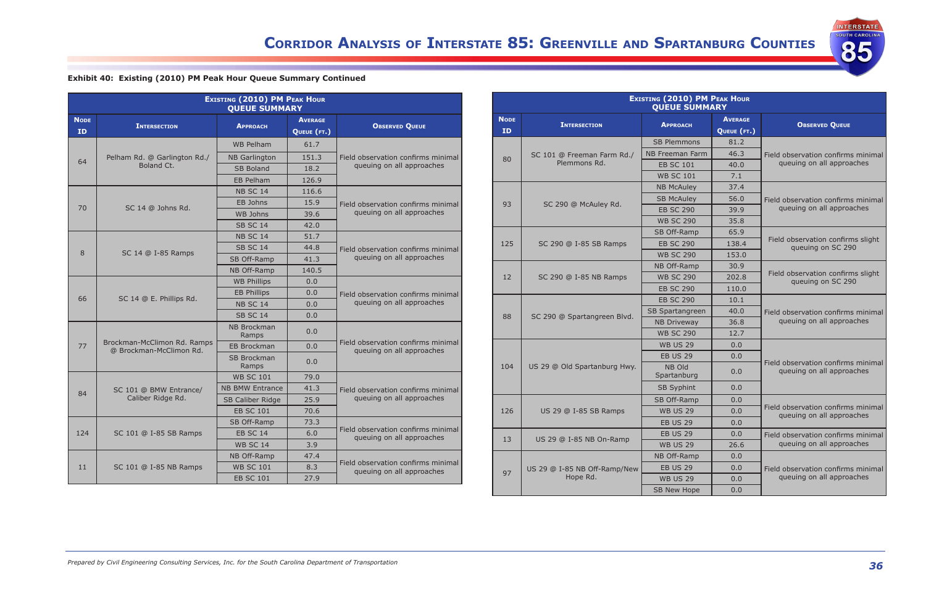84 SC 101 @ BMW Entrance/

124 | SC 101 @ I-85 SB Ramps

11 | SC 101 @ I-85 NB Ramps

| Exhibit 40: Existing (2010) PM Peak Hour Queue Summary Continued |  |  |  |  |  |  |  |
|------------------------------------------------------------------|--|--|--|--|--|--|--|
|------------------------------------------------------------------|--|--|--|--|--|--|--|

| <b>EXISTING (2010) PM PEAK HOUR</b><br><b>QUEUE SUMMARY</b> |                                                        |                             |                               |                                                                 |  |  |
|-------------------------------------------------------------|--------------------------------------------------------|-----------------------------|-------------------------------|-----------------------------------------------------------------|--|--|
| <b>NODE</b><br><b>ID</b>                                    | <b>INTERSECTION</b>                                    | <b>APPROACH</b>             | <b>AVERAGE</b><br>QUEUE (FT.) | <b>OBSERVED QUEUE</b>                                           |  |  |
|                                                             |                                                        | <b>WB Pelham</b>            | 61.7                          |                                                                 |  |  |
| 64                                                          | Pelham Rd. @ Garlington Rd./                           | <b>NB Garlington</b>        | 151.3                         | Field observation confirms minimal                              |  |  |
|                                                             | Boland Ct.                                             | <b>SB Boland</b>            | 18.2                          | queuing on all approaches                                       |  |  |
|                                                             |                                                        | EB Pelham                   | 126.9                         |                                                                 |  |  |
|                                                             |                                                        | <b>NB SC 14</b>             | 116.6                         |                                                                 |  |  |
|                                                             | 70<br>SC 14 @ Johns Rd.                                | EB Johns                    | 15.9                          | Field observation confirms minimal                              |  |  |
|                                                             |                                                        | WB Johns                    | 39.6                          | queuing on all approaches                                       |  |  |
|                                                             |                                                        | <b>SB SC 14</b>             | 42.0                          |                                                                 |  |  |
|                                                             | SC 14 @ I-85 Ramps                                     | <b>NB SC 14</b>             | 51.7                          |                                                                 |  |  |
| 8                                                           |                                                        | <b>SB SC 14</b>             | 44.8                          | Field observation confirms minimal                              |  |  |
|                                                             |                                                        | SB Off-Ramp                 | 41.3                          | queuing on all approaches                                       |  |  |
|                                                             |                                                        | NB Off-Ramp                 | 140.5                         |                                                                 |  |  |
|                                                             |                                                        | <b>WB Phillips</b>          | 0.0                           |                                                                 |  |  |
| 66                                                          | SC 14 @ E. Phillips Rd.                                | <b>EB Phillips</b>          | 0.0                           | Field observation confirms minimal                              |  |  |
|                                                             |                                                        | <b>NB SC 14</b>             | 0.0                           | queuing on all approaches                                       |  |  |
|                                                             |                                                        | <b>SB SC 14</b>             | 0.0                           |                                                                 |  |  |
|                                                             |                                                        | <b>NB Brockman</b><br>Ramps | 0.0                           |                                                                 |  |  |
| 77                                                          | Brockman-McClimon Rd. Ramps<br>@ Brockman-McClimon Rd. | <b>EB Brockman</b>          | 0.0                           | Field observation confirms minimal<br>queuing on all approaches |  |  |
|                                                             |                                                        | <b>SB Brockman</b><br>Ramps | 0.0                           |                                                                 |  |  |
|                                                             |                                                        | <b>WB SC 101</b>            | 79.0                          |                                                                 |  |  |

NB BMW Entrance | 41.3 SB Caliber Ridge 25.9 EB SC 101 70.6

SB Off-Ramp | 73.3

 $NB$  Off-Ramp  $\vert$  47.4

**WB SC 14** 

EB SC 101

Caliber Ridge Rd.

**INTERSTATE SOUTH CAROLINA** 

85

Field observation confirms minimal queuing on all approaches

Field observation confirms minimal

Field observation confirms minimal

EB SC 14 6.0 Freid observation confirms mini-<br>WB SC 14 3.9 dieting on all approaches

WB SC 101 8.3 Field Observation commits mini-<br>EB SC 101 27.9

| <b>EXISTING (2010) PM PEAK HOUR</b><br><b>QUEUE SUMMARY</b> |                              |                        |                               |                                                                 |  |  |
|-------------------------------------------------------------|------------------------------|------------------------|-------------------------------|-----------------------------------------------------------------|--|--|
| <b>NODE</b><br><b>ID</b>                                    | <b>INTERSECTION</b>          | <b>APPROACH</b>        | <b>AVERAGE</b><br>QUEUE (FT.) | <b>OBSERVED QUEUE</b>                                           |  |  |
|                                                             |                              | <b>SB Plemmons</b>     | 81.2                          |                                                                 |  |  |
|                                                             | SC 101 @ Freeman Farm Rd./   | <b>NB Freeman Farm</b> | 46.3                          | Field observation confirms minimal                              |  |  |
| 80                                                          | Plemmons Rd.                 | <b>EB SC 101</b>       | 40.0                          | queuing on all approaches                                       |  |  |
|                                                             |                              | <b>WB SC 101</b>       | 7.1                           |                                                                 |  |  |
|                                                             |                              | <b>NB McAulev</b>      | 37.4                          |                                                                 |  |  |
| 93                                                          |                              | <b>SB McAuley</b>      | 56.0                          | Field observation confirms minimal                              |  |  |
|                                                             | SC 290 @ McAuley Rd.         | <b>EB SC 290</b>       | 39.9                          | queuing on all approaches                                       |  |  |
|                                                             |                              | <b>WB SC 290</b>       | 35.8                          |                                                                 |  |  |
|                                                             |                              | SB Off-Ramp            | 65.9                          |                                                                 |  |  |
| 125                                                         | SC 290 @ I-85 SB Ramps       | <b>EB SC 290</b>       | 138.4                         | Field observation confirms slight<br>queuing on SC 290          |  |  |
|                                                             |                              | <b>WB SC 290</b>       | 153.0                         |                                                                 |  |  |
| 12                                                          |                              | NB Off-Ramp            | 30.9                          |                                                                 |  |  |
|                                                             | SC 290 @ I-85 NB Ramps       | <b>WB SC 290</b>       | 202.8                         | Field observation confirms slight<br>queuing on SC 290          |  |  |
|                                                             |                              | <b>EB SC 290</b>       | 110.0                         |                                                                 |  |  |
|                                                             | SC 290 @ Spartangreen Blvd.  | <b>EB SC 290</b>       | 10.1                          |                                                                 |  |  |
| 88                                                          |                              | SB Spartangreen        | 40.0                          | Field observation confirms minimal                              |  |  |
|                                                             |                              | <b>NB Driveway</b>     | 36.8                          | queuing on all approaches                                       |  |  |
|                                                             |                              | <b>WB SC 290</b>       | 12.7                          |                                                                 |  |  |
|                                                             |                              | <b>WB US 29</b>        | 0.0                           |                                                                 |  |  |
|                                                             |                              | <b>EB US 29</b>        | 0.0                           |                                                                 |  |  |
| 104                                                         | US 29 @ Old Spartanburg Hwy. | NB Old<br>Spartanburg  | 0.0                           | Field observation confirms minimal<br>queuing on all approaches |  |  |
|                                                             |                              | <b>SB Syphint</b>      | 0.0                           |                                                                 |  |  |
|                                                             |                              | SB Off-Ramp            | 0.0                           |                                                                 |  |  |
| 126                                                         | US 29 @ I-85 SB Ramps        | <b>WB US 29</b>        | 0.0                           | Field observation confirms minimal<br>queuing on all approaches |  |  |
|                                                             |                              | <b>EB US 29</b>        | 0.0                           |                                                                 |  |  |
| 13                                                          |                              | <b>EB US 29</b>        | 0.0                           | Field observation confirms minimal                              |  |  |
|                                                             | US 29 @ I-85 NB On-Ramp      | <b>WB US 29</b>        | 26.6                          | queuing on all approaches                                       |  |  |
|                                                             |                              | NB Off-Ramp            | 0.0                           |                                                                 |  |  |
| 97                                                          | US 29 @ I-85 NB Off-Ramp/New | <b>EB US 29</b>        | 0.0                           | Field observation confirms minimal                              |  |  |
|                                                             | Hope Rd.                     | <b>WB US 29</b>        | 0.0                           | queuing on all approaches                                       |  |  |
|                                                             |                              | SB New Hope            | 0.0                           |                                                                 |  |  |
|                                                             |                              |                        |                               |                                                                 |  |  |